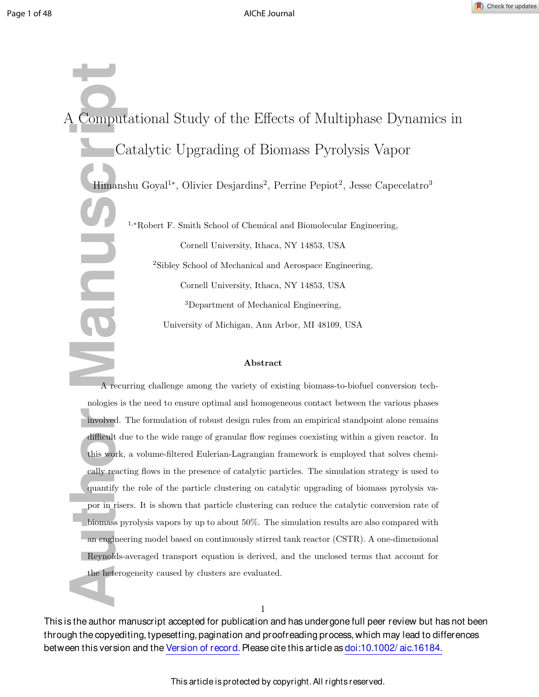

**A** Computa<br> **Authbre** Cat<br> **Author Manuscript**<br> **A** recurri<br>
nologies is the involved. The difficult due<br>
this work, a<br>
cally reacting<br>
quantify the por in risers<br>
biomass pyrc<br>
an engineering<br>
Reynolds-ave the heteroge A Computational Study of the Effects of Multiphase Dynamics in Catalytic Upgrading of Biomass Pyrolysis Vapor Himanshu Goyal<sup>1\*</sup>, Olivier Desjardins<sup>2</sup>, Perrine Pepiot<sup>2</sup>, Jesse Capecelatro<sup>3</sup> <sup>1</sup>,<sup>∗</sup>Robert F. Smith School of Chemical and Biomolecular Engineering, Cornell University, Ithaca, NY 14853, USA <sup>2</sup>Sibley School of Mechanical and Aerospace Engineering, Cornell University, Ithaca, NY 14853, USA <sup>3</sup>Department of Mechanical Engineering, University of Michigan, Ann Arbor, MI 48109, USA

### Abstract

A recurring challenge among the variety of existing biomass-to-biofuel conversion technologies is the need to ensure optimal and homogeneous contact between the various phases involved. The formulation of robust design rules from an empirical standpoint alone remains difficult due to the wide range of granular flow regimes coexisting within a given reactor. In this work, a volume-filtered Eulerian-Lagrangian framework is employed that solves chemically reacting flows in the presence of catalytic particles. The simulation strategy is used to quantify the role of the particle clustering on catalytic upgrading of biomass pyrolysis vapor in risers. It is shown that particle clustering can reduce the catalytic conversion rate of biomass pyrolysis vapors by up to about 50%. The simulation results are also compared with an engineering model based on continuously stirred tank reactor (CSTR). A one-dimensional Reynolds-averaged transport equation is derived, and the unclosed terms that account for the heterogeneity caused by clusters are evaluated.

This is the author manuscript accepted for publication and has undergone full peer review but has not been through the copyediting, typesetting, pagination and proofreading process, which may lead to differences between this version and the Version of record. Please cite this article as doi:10.1002/aic.16184.

1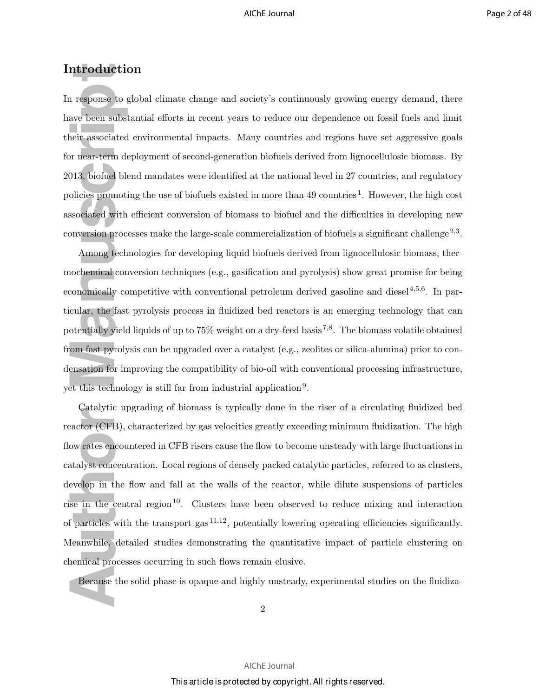### Introduction

In response to global climate change and society's continuously growing energy demand, there have been substantial efforts in recent years to reduce our dependence on fossil fuels and limit their associated environmental impacts. Many countries and regions have set aggressive goals for near-term deployment of second-generation biofuels derived from lignocellulosic biomass. By 2013, biofuel blend mandates were identified at the national level in 27 countries, and regulatory policies promoting the use of biofuels existed in more than 49 countries<sup>1</sup>. However, the high cost associated with efficient conversion of biomass to biofuel and the difficulties in developing new conversion processes make the large-scale commercialization of biofuels a significant challenge<sup>2,3</sup>.

Among technologies for developing liquid biofuels derived from lignocellulosic biomass, thermochemical conversion techniques (e.g., gasification and pyrolysis) show great promise for being economically competitive with conventional petroleum derived gasoline and diesel $4,5,6$ . In particular, the fast pyrolysis process in fluidized bed reactors is an emerging technology that can potentially yield liquids of up to  $75\%$  weight on a dry-feed basis  $7.8$ . The biomass volatile obtained from fast pyrolysis can be upgraded over a catalyst (e.g., zeolites or silica-alumina) prior to condensation for improving the compatibility of bio-oil with conventional processing infrastructure, yet this technology is still far from industrial application<sup>9</sup>.

**Author Manuscript** Catalytic upgrading of biomass is typically done in the riser of a circulating fluidized bed reactor (CFB), characterized by gas velocities greatly exceeding minimum fluidization. The high flow rates encountered in CFB risers cause the flow to become unsteady with large fluctuations in catalyst concentration. Local regions of densely packed catalytic particles, referred to as clusters, develop in the flow and fall at the walls of the reactor, while dilute suspensions of particles rise in the central region<sup>10</sup>. Clusters have been observed to reduce mixing and interaction of particles with the transport gas<sup>11,12</sup>, potentially lowering operating efficiencies significantly. Meanwhile, detailed studies demonstrating the quantitative impact of particle clustering on chemical processes occurring in such flows remain elusive.

Because the solid phase is opaque and highly unsteady, experimental studies on the fluidiza-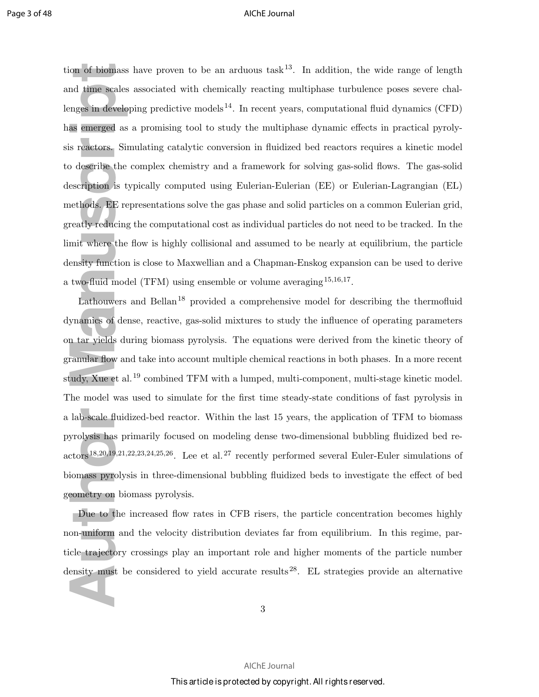on of biomass l<br>and time scales angles in develop<br>as emerged as a<br>s reactors. Sim<br>b describe the c<br>escription is tyle<br>thods. EE rep<br>reatly reducing t<br>mit where the f<br>ensity function is<br>two-fluid mode<br>Lathouwers a<br>ynamics o tion of biomass have proven to be an arduous task<sup>13</sup>. In addition, the wide range of length and time scales associated with chemically reacting multiphase turbulence poses severe challenges in developing predictive models<sup>14</sup>. In recent years, computational fluid dynamics (CFD) has emerged as a promising tool to study the multiphase dynamic effects in practical pyrolysis reactors. Simulating catalytic conversion in fluidized bed reactors requires a kinetic model to describe the complex chemistry and a framework for solving gas-solid flows. The gas-solid description is typically computed using Eulerian-Eulerian (EE) or Eulerian-Lagrangian (EL) methods. EE representations solve the gas phase and solid particles on a common Eulerian grid, greatly reducing the computational cost as individual particles do not need to be tracked. In the limit where the flow is highly collisional and assumed to be nearly at equilibrium, the particle density function is close to Maxwellian and a Chapman-Enskog expansion can be used to derive a two-fluid model (TFM) using ensemble or volume averaging  $^{15,16,17}$ .

Lathouwers and Bellan<sup>18</sup> provided a comprehensive model for describing the thermofluid dynamics of dense, reactive, gas-solid mixtures to study the influence of operating parameters on tar yields during biomass pyrolysis. The equations were derived from the kinetic theory of granular flow and take into account multiple chemical reactions in both phases. In a more recent study, Xue et al.<sup>19</sup> combined TFM with a lumped, multi-component, multi-stage kinetic model. The model was used to simulate for the first time steady-state conditions of fast pyrolysis in a lab-scale fluidized-bed reactor. Within the last 15 years, the application of TFM to biomass pyrolysis has primarily focused on modeling dense two-dimensional bubbling fluidized bed reactors18,20,19,21,22,23,24,25,26. Lee et al.<sup>27</sup> recently performed several Euler-Euler simulations of biomass pyrolysis in three-dimensional bubbling fluidized beds to investigate the effect of bed geometry on biomass pyrolysis.

Due to the increased flow rates in CFB risers, the particle concentration becomes highly non-uniform and the velocity distribution deviates far from equilibrium. In this regime, particle trajectory crossings play an important role and higher moments of the particle number density must be considered to yield accurate results<sup>28</sup>. EL strategies provide an alternative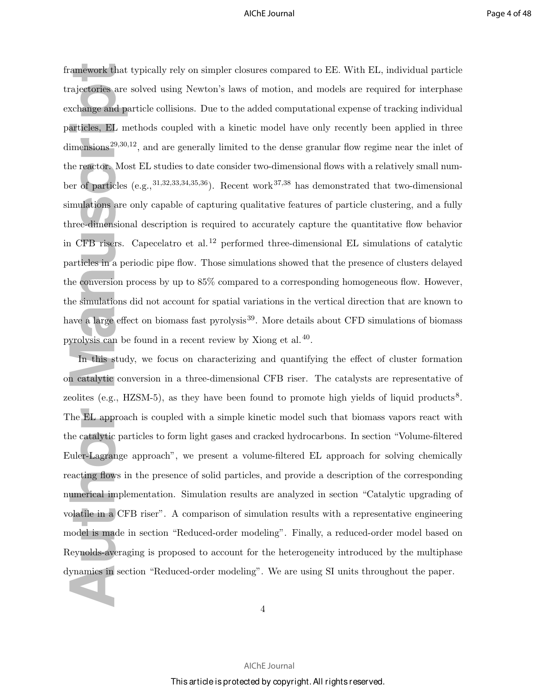rajectories are s<br>
schange and paratticles, EL me<br>
imensions<sup>29,30,12</sup><br>
ine reactor. Most<br>
er of particles (<br>
mulations are o<br>
ince-dimensiona<br>
in CFB risers. C<br>
articles in a period paratticles in a period in this study<br> framework that typically rely on simpler closures compared to EE. With EL, individual particle trajectories are solved using Newton's laws of motion, and models are required for interphase exchange and particle collisions. Due to the added computational expense of tracking individual particles, EL methods coupled with a kinetic model have only recently been applied in three dimensions<sup>29,30,12</sup>, and are generally limited to the dense granular flow regime near the inlet of the reactor. Most EL studies to date consider two-dimensional flows with a relatively small number of particles  $(e.g., 31,32,33,34,35,36)$ . Recent work<sup>37,38</sup> has demonstrated that two-dimensional simulations are only capable of capturing qualitative features of particle clustering, and a fully three-dimensional description is required to accurately capture the quantitative flow behavior in CFB risers. Capecelatro et al.<sup>12</sup> performed three-dimensional EL simulations of catalytic particles in a periodic pipe flow. Those simulations showed that the presence of clusters delayed the conversion process by up to 85% compared to a corresponding homogeneous flow. However, the simulations did not account for spatial variations in the vertical direction that are known to have a large effect on biomass fast pyrolysis<sup>39</sup>. More details about CFD simulations of biomass pyrolysis can be found in a recent review by Xiong et al.<sup>40</sup>.

In this study, we focus on characterizing and quantifying the effect of cluster formation on catalytic conversion in a three-dimensional CFB riser. The catalysts are representative of zeolites (e.g., HZSM-5), as they have been found to promote high yields of liquid products<sup>8</sup>. The EL approach is coupled with a simple kinetic model such that biomass vapors react with the catalytic particles to form light gases and cracked hydrocarbons. In section "Volume-filtered Euler-Lagrange approach", we present a volume-filtered EL approach for solving chemically reacting flows in the presence of solid particles, and provide a description of the corresponding numerical implementation. Simulation results are analyzed in section "Catalytic upgrading of volatile in a CFB riser". A comparison of simulation results with a representative engineering model is made in section "Reduced-order modeling". Finally, a reduced-order model based on Reynolds-averaging is proposed to account for the heterogeneity introduced by the multiphase dynamics in section "Reduced-order modeling". We are using SI units throughout the paper.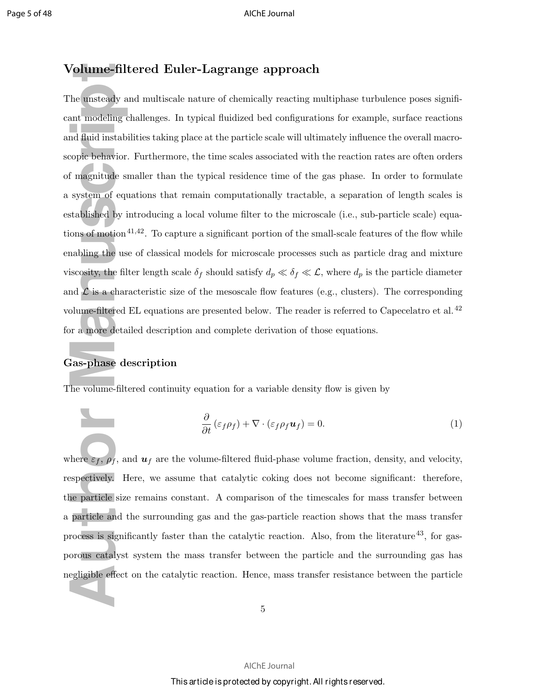### Volume-filtered Euler-Lagrange approach

For the unsteady and modeling changed in the unsteady and fluid instabilies<br>copic behavior.<br>If magnitude sm system of equastablished by invions of motion <sup>41</sup><br>nabling the use is<br>cosity, the filter of  $\mathcal L$  is a charad ol The unsteady and multiscale nature of chemically reacting multiphase turbulence poses significant modeling challenges. In typical fluidized bed configurations for example, surface reactions and fluid instabilities taking place at the particle scale will ultimately influence the overall macroscopic behavior. Furthermore, the time scales associated with the reaction rates are often orders of magnitude smaller than the typical residence time of the gas phase. In order to formulate a system of equations that remain computationally tractable, a separation of length scales is established by introducing a local volume filter to the microscale (i.e., sub-particle scale) equations of motion<sup>41,42</sup>. To capture a significant portion of the small-scale features of the flow while enabling the use of classical models for microscale processes such as particle drag and mixture viscosity, the filter length scale  $\delta_f$  should satisfy  $d_p \ll \delta_f \ll \mathcal{L}$ , where  $d_p$  is the particle diameter and  $\mathcal L$  is a characteristic size of the mesoscale flow features (e.g., clusters). The corresponding volume-filtered EL equations are presented below. The reader is referred to Capecelatro et al.<sup>42</sup> for a more detailed description and complete derivation of those equations.

### Gas-phase description

The volume-filtered continuity equation for a variable density flow is given by

$$
\frac{\partial}{\partial t} \left( \varepsilon_f \rho_f \right) + \nabla \cdot \left( \varepsilon_f \rho_f \mathbf{u}_f \right) = 0. \tag{1}
$$

where  $\varepsilon_f$ ,  $\rho_f$ , and  $u_f$  are the volume-filtered fluid-phase volume fraction, density, and velocity, respectively. Here, we assume that catalytic coking does not become significant: therefore, the particle size remains constant. A comparison of the timescales for mass transfer between a particle and the surrounding gas and the gas-particle reaction shows that the mass transfer process is significantly faster than the catalytic reaction. Also, from the literature<sup>43</sup>, for gasporous catalyst system the mass transfer between the particle and the surrounding gas has negligible effect on the catalytic reaction. Hence, mass transfer resistance between the particle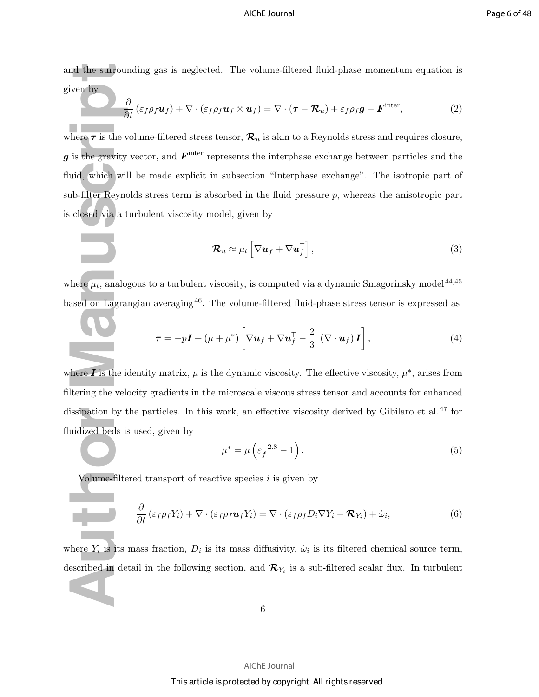and the surrounding gas is neglected. The volume-filtered fluid-phase momentum equation is given by

$$
\frac{\partial}{\partial t} \left( \varepsilon_f \rho_f \mathbf{u}_f \right) + \nabla \cdot \left( \varepsilon_f \rho_f \mathbf{u}_f \otimes \mathbf{u}_f \right) = \nabla \cdot (\boldsymbol{\tau} - \boldsymbol{\mathcal{R}}_u) + \varepsilon_f \rho_f \mathbf{g} - \boldsymbol{F}^{\text{inter}}, \tag{2}
$$

**Automorphism**<br> **Automorphism**<br> **Automorphism**<br> **Author Manuscript**<br> **Author Manuscript**<br> **Author Manuscript**<br> **Author Manuscript**<br> **Author Manuscript**<br> **Author Manuscript**<br> **Author Manuscript**<br> **Author Manuscript**<br> **Auth** where  $\tau$  is the volume-filtered stress tensor,  $\mathcal{R}_u$  is akin to a Reynolds stress and requires closure, g is the gravity vector, and  $F<sup>inter</sup>$  represents the interphase exchange between particles and the fluid, which will be made explicit in subsection "Interphase exchange". The isotropic part of sub-filter Reynolds stress term is absorbed in the fluid pressure p, whereas the anisotropic part is closed via a turbulent viscosity model, given by

$$
\mathcal{R}_u \approx \mu_t \left[ \nabla \boldsymbol{u}_f + \nabla \boldsymbol{u}_f^\mathsf{T} \right], \tag{3}
$$

where  $\mu_t$ , analogous to a turbulent viscosity, is computed via a dynamic Smagorinsky model<sup>44,45</sup> based on Lagrangian averaging<sup>46</sup>. The volume-filtered fluid-phase stress tensor is expressed as

$$
\boldsymbol{\tau} = -p\boldsymbol{I} + (\mu + \mu^*) \left[ \nabla \boldsymbol{u}_f + \nabla \boldsymbol{u}_f^{\mathsf{T}} - \frac{2}{3} \left( \nabla \cdot \boldsymbol{u}_f \right) \boldsymbol{I} \right], \tag{4}
$$

where  $\vec{I}$  is the identity matrix,  $\mu$  is the dynamic viscosity. The effective viscosity,  $\mu^*$ , arises from filtering the velocity gradients in the microscale viscous stress tensor and accounts for enhanced dissipation by the particles. In this work, an effective viscosity derived by Gibilaro et al.<sup>47</sup> for fluidized beds is used, given by

$$
\mu^* = \mu \left( \varepsilon_f^{-2.8} - 1 \right). \tag{5}
$$

Volume-filtered transport of reactive species  $i$  is given by

$$
\frac{\partial}{\partial t} \left( \varepsilon_f \rho_f Y_i \right) + \nabla \cdot \left( \varepsilon_f \rho_f \mathbf{u}_f Y_i \right) = \nabla \cdot \left( \varepsilon_f \rho_f D_i \nabla Y_i - \mathcal{R}_{Y_i} \right) + \dot{\omega}_i, \tag{6}
$$

where  $Y_i$  is its mass fraction,  $D_i$  is its mass diffusivity,  $\dot{\omega}_i$  is its filtered chemical source term, described in detail in the following section, and  $\mathcal{R}_{Y_i}$  is a sub-filtered scalar flux. In turbulent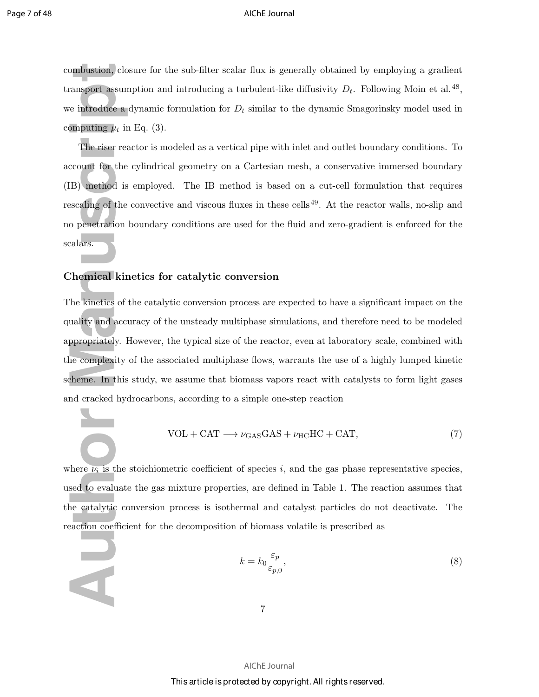combustion, closure for the sub-filter scalar flux is generally obtained by employing a gradient transport assumption and introducing a turbulent-like diffusivity  $D_t$ . Following Moin et al.<sup>48</sup>, we introduce a dynamic formulation for  $D_t$  similar to the dynamic Smagorinsky model used in computing  $\mu_t$  in Eq. (3).

 $\begin{align*} \text{approximation, class} \text{answer} \text{asump} \text{temperature, a d} \text{imputing } \mu_t \text{ in} \text{.} \end{align*} \begin{align*} \text{The riser reac} \text{count for the c} \text{E} \text{is} \text{scaling of the c} \text{secaling of the c} \text{partial} \text{is} \text{.} \end{align*} \begin{align*} \text{The \textbf{mical kiné} \text{he kinetics of the } t \text{uality and occur} \text{preprestrable} \text{the kinetic} \text{of the } t \text{matrix of the c} \text{complexity of the c} \text{in} \text{.} \end{align*} \begin$ The riser reactor is modeled as a vertical pipe with inlet and outlet boundary conditions. To account for the cylindrical geometry on a Cartesian mesh, a conservative immersed boundary (IB) method is employed. The IB method is based on a cut-cell formulation that requires rescaling of the convective and viscous fluxes in these cells<sup>49</sup>. At the reactor walls, no-slip and no penetration boundary conditions are used for the fluid and zero-gradient is enforced for the scalars.

### Chemical kinetics for catalytic conversion

The kinetics of the catalytic conversion process are expected to have a significant impact on the quality and accuracy of the unsteady multiphase simulations, and therefore need to be modeled appropriately. However, the typical size of the reactor, even at laboratory scale, combined with the complexity of the associated multiphase flows, warrants the use of a highly lumped kinetic scheme. In this study, we assume that biomass vapors react with catalysts to form light gases and cracked hydrocarbons, according to a simple one-step reaction

$$
VOL + CAT \longrightarrow \nu_{GAS} GAS + \nu_{HC} HC + CAT,
$$
\n(7)

where  $\nu_i$  is the stoichiometric coefficient of species i, and the gas phase representative species, used to evaluate the gas mixture properties, are defined in Table 1. The reaction assumes that the catalytic conversion process is isothermal and catalyst particles do not deactivate. The reaction coefficient for the decomposition of biomass volatile is prescribed as

$$
k = k_0 \frac{\varepsilon_p}{\varepsilon_{p,0}},\tag{8}
$$

AIChE Journal This article is protected by copyright. All rights reserved.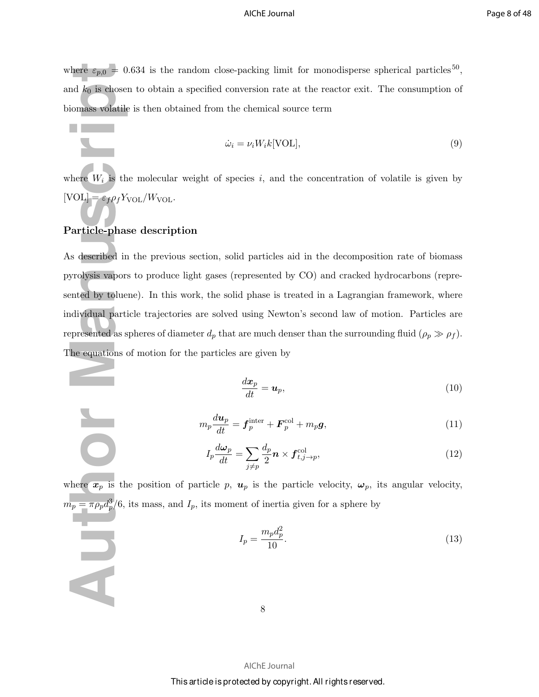where  $\varepsilon_{p,0} = 0.634$  is the random close-packing limit for monodisperse spherical particles<sup>50</sup>, and  $k_0$  is chosen to obtain a specified conversion rate at the reactor exit. The consumption of biomass volatile is then obtained from the chemical source term

$$
\dot{\omega}_i = \nu_i W_i k \text{[VOL]},\tag{9}
$$

where  $W_i$  is the molecular weight of species i, and the concentration of volatile is given by [VOL] =  $\varepsilon_f \rho_f Y_{\text{VOL}}/W_{\text{VOL}}$ .

### Particle-phase description

 $\overline{\mathbf{A}}$ 

there  $\varepsilon_{p,0} = 0.6$ <br>
and  $k_0$  is chosen<br>
iomass volatile is<br>
iomass volatile is<br>
here  $W_i$  is the<br>  $VOL$  =  $\varepsilon_f \rho_f Y_{\text{VC}}$ <br>
article-phase<br>
s described in 1<br>
yrolysis vapors<br>
ented by toluene<br>
alividual particle<br>
presen As described in the previous section, solid particles aid in the decomposition rate of biomass pyrolysis vapors to produce light gases (represented by CO) and cracked hydrocarbons (represented by toluene). In this work, the solid phase is treated in a Lagrangian framework, where individual particle trajectories are solved using Newton's second law of motion. Particles are represented as spheres of diameter  $d_p$  that are much denser than the surrounding fluid  $(\rho_p \gg \rho_f)$ . The equations of motion for the particles are given by

$$
\frac{dx_p}{dt} = \mathbf{u}_p,\tag{10}
$$

$$
m_p \frac{d\boldsymbol{u}_p}{dt} = \boldsymbol{f}_p^{\text{inter}} + \boldsymbol{F}_p^{\text{col}} + m_p \boldsymbol{g},\tag{11}
$$

$$
I_p \frac{d\omega_p}{dt} = \sum_{j \neq p} \frac{d_p}{2} \mathbf{n} \times \mathbf{f}_{t,j \to p}^{\text{col}},\tag{12}
$$

where  $x_p$  is the position of particle p,  $u_p$  is the particle velocity,  $\omega_p$ , its angular velocity,  $m_p = \pi \rho_p d_p^3/6$ , its mass, and  $I_p$ , its moment of inertia given for a sphere by

$$
I_p = \frac{m_p d_p^2}{10}.
$$
\n(13)

8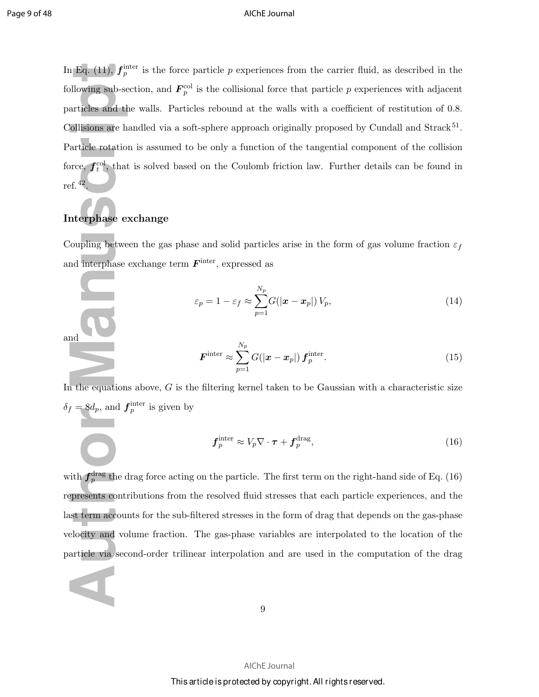**Automagnet 11.5**  $f_p^{\text{int}}$ <br>
allowing sub-sec<br>
articles and the<br>
collisions are harticle rotation<br>
orce,  $f_t^{\text{col}}$ , that<br>
of  $f_t^{\text{1}}$ , that<br>
of  $f_t^{\text{1}}$ <br>
the equations<br>
and interphase exerciting<br>
and interphase exer In Eq. (11),  $f_p^{\text{inter}}$  is the force particle p experiences from the carrier fluid, as described in the following sub-section, and  $\mathbf{F}_p^{\text{col}}$  is the collisional force that particle p experiences with adjacent particles and the walls. Particles rebound at the walls with a coefficient of restitution of 0.8. Collisions are handled via a soft-sphere approach originally proposed by Cundall and Strack<sup>51</sup>. Particle rotation is assumed to be only a function of the tangential component of the collision force,  $f_t^{\text{col}}$ , that is solved based on the Coulomb friction law. Further details can be found in ref.<sup>42</sup> .

### Interphase exchange

Coupling between the gas phase and solid particles arise in the form of gas volume fraction  $\varepsilon_f$ and interphase exchange term  $F<sup>inter</sup>$ , expressed as

$$
\varepsilon_p = 1 - \varepsilon_f \approx \sum_{p=1}^{N_p} G(|\boldsymbol{x} - \boldsymbol{x}_p|) V_p,
$$
\n(14)



$$
\boldsymbol{F}^{\text{inter}} \approx \sum_{p=1}^{N_p} G(|\boldsymbol{x} - \boldsymbol{x}_p|) \, \boldsymbol{f}_p^{\text{inter}}.
$$
\n(15)

In the equations above,  $G$  is the filtering kernel taken to be Gaussian with a characteristic size  $\delta_f = 8d_p$ , and  $f_p^{\text{inter}}$  is given by

$$
\boldsymbol{f}_p^{\text{inter}} \approx V_p \nabla \cdot \boldsymbol{\tau} + \boldsymbol{f}_p^{\text{drag}},\tag{16}
$$

with  $f_p^{\text{drag}}$  the drag force acting on the particle. The first term on the right-hand side of Eq. (16) represents contributions from the resolved fluid stresses that each particle experiences, and the last term accounts for the sub-filtered stresses in the form of drag that depends on the gas-phase velocity and volume fraction. The gas-phase variables are interpolated to the location of the particle via second-order trilinear interpolation and are used in the computation of the drag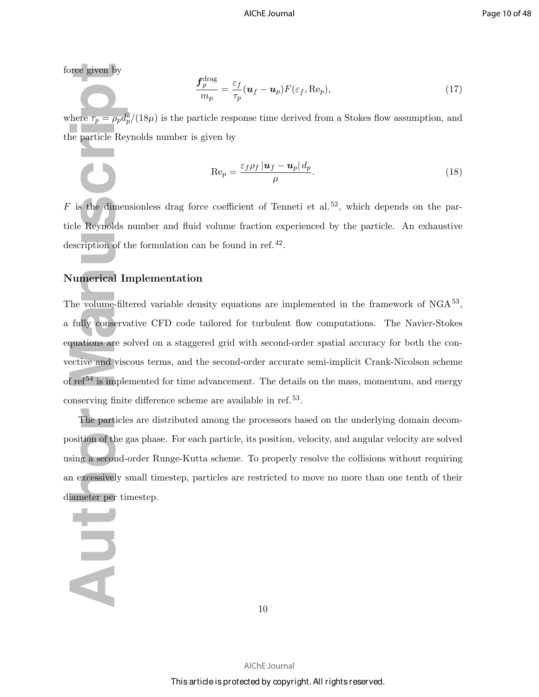force given by

$$
\frac{\mathbf{f}_p^{\text{drag}}}{m_p} = \frac{\varepsilon_f}{\tau_p} (\mathbf{u}_f - \mathbf{u}_p) F(\varepsilon_f, \text{Re}_p),\tag{17}
$$

where  $\tau_p = \rho_p d_p^2/(18\mu)$  is the particle response time derived from a Stokes flow assumption, and the particle Reynolds number is given by

$$
\operatorname{Re}_p = \frac{\varepsilon_f \rho_f |u_f - u_p| d_p}{\mu}.
$$
\n(18)

 $F$  is the dimensionless drag force coefficient of Tenneti et al.<sup>52</sup>, which depends on the particle Reynolds number and fluid volume fraction experienced by the particle. An exhaustive description of the formulation can be found in ref.<sup>42</sup>.

### Numerical Implementation

For  $\tau_p = \rho_p d_p^2$ , the particle Reynolds measuring the dimensional Hauthor Municipal Improvement of the volume-filter fully conservat put in the volume-filter fully conservat put in the volume-filter fully conservat put i The volume-filtered variable density equations are implemented in the framework of  $NGA^{53}$ , a fully conservative CFD code tailored for turbulent flow computations. The Navier-Stokes equations are solved on a staggered grid with second-order spatial accuracy for both the convective and viscous terms, and the second-order accurate semi-implicit Crank-Nicolson scheme of  $ref<sup>54</sup>$  is implemented for time advancement. The details on the mass, momentum, and energy conserving finite difference scheme are available in ref.<sup>53</sup>.

The particles are distributed among the processors based on the underlying domain decomposition of the gas phase. For each particle, its position, velocity, and angular velocity are solved using a second-order Runge-Kutta scheme. To properly resolve the collisions without requiring an excessively small timestep, particles are restricted to move no more than one tenth of their diameter per timestep.

### HU

10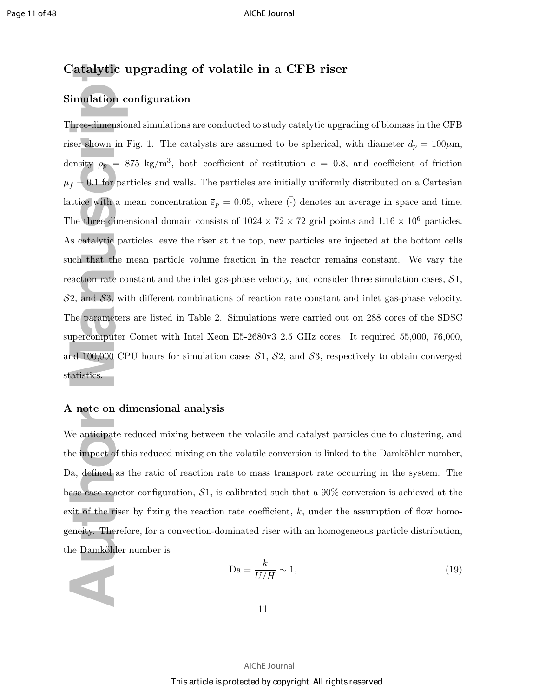### Catalytic upgrading of volatile in a CFB riser

### Simulation configuration

**Authbrack Community (Authbrack)**<br>
The e-dimensions ser shown in Fi<br>
ensity  $\rho_p = 87$ <br>  $f = 0.1$  for part<br>
tuttice with a me<br>
the three-dimens<br>
scatalytic part<br>
tuch that the m<br>
scatalytic part<br>
tuch that the m<br>
action rat Three-dimensional simulations are conducted to study catalytic upgrading of biomass in the CFB riser shown in Fig. 1. The catalysts are assumed to be spherical, with diameter  $d_p = 100 \mu \text{m}$ , density  $\rho_p = 875 \text{ kg/m}^3$ , both coefficient of restitution  $e = 0.8$ , and coefficient of friction  $\mu_f = 0.1$  for particles and walls. The particles are initially uniformly distributed on a Cartesian lattice with a mean concentration  $\bar{\varepsilon}_p = 0.05$ , where  $\bar{(\cdot)}$  denotes an average in space and time. The three-dimensional domain consists of  $1024 \times 72 \times 72$  grid points and  $1.16 \times 10^6$  particles. As catalytic particles leave the riser at the top, new particles are injected at the bottom cells such that the mean particle volume fraction in the reactor remains constant. We vary the reaction rate constant and the inlet gas-phase velocity, and consider three simulation cases,  $S1$ ,  $S<sub>2</sub>$ , and  $S<sub>3</sub>$ , with different combinations of reaction rate constant and inlet gas-phase velocity. The parameters are listed in Table 2. Simulations were carried out on 288 cores of the SDSC supercomputer Comet with Intel Xeon E5-2680v3 2.5 GHz cores. It required 55,000, 76,000, and 100,000 CPU hours for simulation cases  $S_1$ ,  $S_2$ , and  $S_3$ , respectively to obtain converged statistics.

### A note on dimensional analysis

We anticipate reduced mixing between the volatile and catalyst particles due to clustering, and the impact of this reduced mixing on the volatile conversion is linked to the Damköhler number, Da, defined as the ratio of reaction rate to mass transport rate occurring in the system. The base case reactor configuration,  $S1$ , is calibrated such that a 90% conversion is achieved at the exit of the riser by fixing the reaction rate coefficient,  $k$ , under the assumption of flow homogeneity. Therefore, for a convection-dominated riser with an homogeneous particle distribution, the Damköhler number is

$$
\mathrm{Da} = \frac{k}{U/H} \sim 1,\tag{19}
$$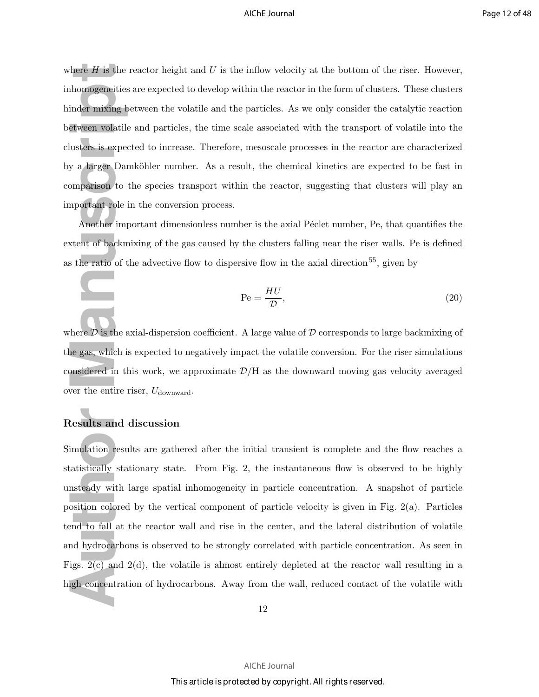where  $H$  is the reactor height and  $U$  is the inflow velocity at the bottom of the riser. However, inhomogeneities are expected to develop within the reactor in the form of clusters. These clusters hinder mixing between the volatile and the particles. As we only consider the catalytic reaction between volatile and particles, the time scale associated with the transport of volatile into the clusters is expected to increase. Therefore, mesoscale processes in the reactor are characterized by a larger Damköhler number. As a result, the chemical kinetics are expected to be fast in comparison to the species transport within the reactor, suggesting that clusters will play an important role in the conversion process.

Another important dimensionless number is the axial Péclet number, Pe, that quantifies the extent of backmixing of the gas caused by the clusters falling near the riser walls. Pe is defined as the ratio of the advective flow to dispersive flow in the axial direction<sup>55</sup>, given by

$$
Pe = \frac{HU}{D},\tag{20}
$$

where  $\mathcal D$  is the axial-dispersion coefficient. A large value of  $\mathcal D$  corresponds to large backmixing of the gas, which is expected to negatively impact the volatile conversion. For the riser simulations considered in this work, we approximate  $\mathcal{D}/H$  as the downward moving gas velocity averaged over the entire riser,  $U_{\text{downward}}$ .

### Results and discussion

here *H* is the reach<br>inder mixing be<br>inder mixing be<br>etween volatile<br>usters is expect<br>y a larger Dam<br>amparison to the<br>mortant role in<br>Another impo<br>xtent of backmi:<br>s the ratio of the mortal of the reached in thi<br>here *D* Simulation results are gathered after the initial transient is complete and the flow reaches a statistically stationary state. From Fig. 2, the instantaneous flow is observed to be highly unsteady with large spatial inhomogeneity in particle concentration. A snapshot of particle position colored by the vertical component of particle velocity is given in Fig. 2(a). Particles tend to fall at the reactor wall and rise in the center, and the lateral distribution of volatile and hydrocarbons is observed to be strongly correlated with particle concentration. As seen in Figs.  $2(c)$  and  $2(d)$ , the volatile is almost entirely depleted at the reactor wall resulting in a high concentration of hydrocarbons. Away from the wall, reduced contact of the volatile with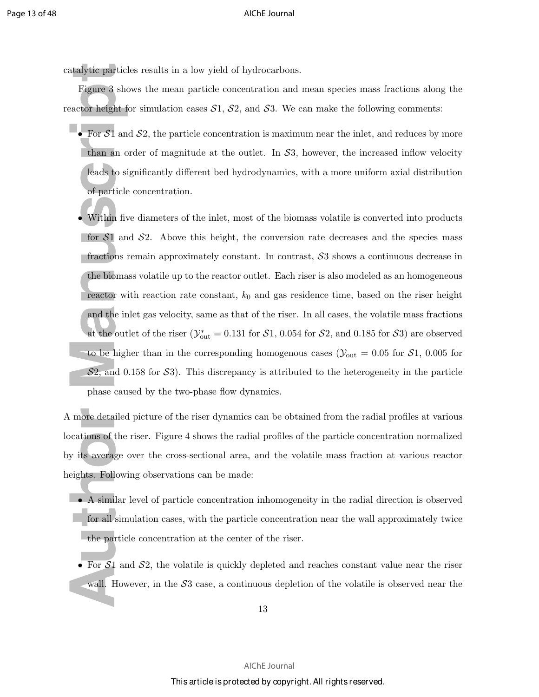catalytic particles results in a low yield of hydrocarbons.

Figure 3 shows the mean particle concentration and mean species mass fractions along the reactor height for simulation cases  $S_1$ ,  $S_2$ , and  $S_3$ . We can make the following comments:

- For  $S1$  and  $S2$ , the particle concentration is maximum near the inlet, and reduces by more than an order of magnitude at the outlet. In  $S_3$ , however, the increased inflow velocity leads to significantly different bed hydrodynamics, with a more uniform axial distribution of particle concentration.
- **Authorize Exercise**<br> **Authorize 3 show**<br> **Authorize 3 show**<br> **Authorize 4 shows**<br> **Authorize 4 shows**<br> **Authorize 6 shows**<br> **Authorize 5 shows**<br> **Authorize 5 shows**<br> **Authorize 5 shows**<br> **Authorize 5 shows**<br> **Authorize 5** • Within five diameters of the inlet, most of the biomass volatile is converted into products for  $S1$  and  $S2$ . Above this height, the conversion rate decreases and the species mass fractions remain approximately constant. In contrast, S3 shows a continuous decrease in the biomass volatile up to the reactor outlet. Each riser is also modeled as an homogeneous reactor with reaction rate constant,  $k_0$  and gas residence time, based on the riser height and the inlet gas velocity, same as that of the riser. In all cases, the volatile mass fractions at the outlet of the riser  $(\mathcal{Y}_{out}^* = 0.131$  for  $\mathcal{S}1$ , 0.054 for  $\mathcal{S}2$ , and 0.185 for  $\mathcal{S}3$ ) are observed to be higher than in the corresponding homogenous cases ( $\mathcal{Y}_{\text{out}} = 0.05$  for  $\mathcal{S}1$ , 0.005 for  $S<sub>2</sub>$ , and 0.158 for S<sub>3</sub>. This discrepancy is attributed to the heterogeneity in the particle phase caused by the two-phase flow dynamics.

A more detailed picture of the riser dynamics can be obtained from the radial profiles at various locations of the riser. Figure 4 shows the radial profiles of the particle concentration normalized by its average over the cross-sectional area, and the volatile mass fraction at various reactor heights. Following observations can be made:

- A similar level of particle concentration inhomogeneity in the radial direction is observed for all simulation cases, with the particle concentration near the wall approximately twice the particle concentration at the center of the riser.
- For  $S_1$  and  $S_2$ , the volatile is quickly depleted and reaches constant value near the riser wall. However, in the  $S_3$  case, a continuous depletion of the volatile is observed near the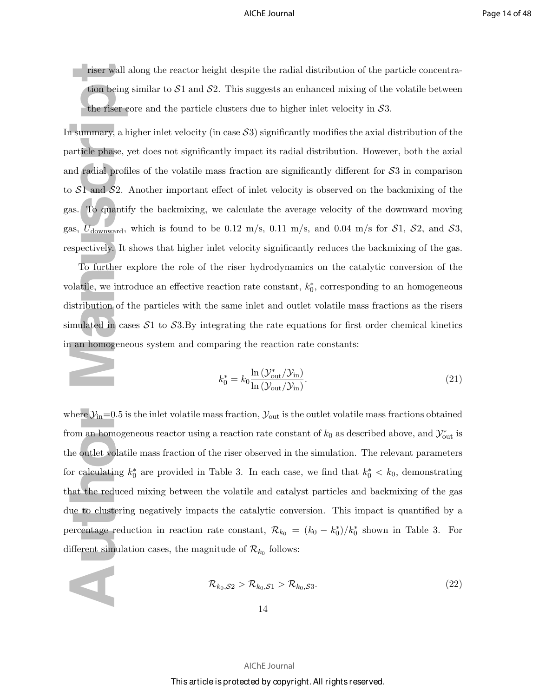riser wall along the reactor height despite the radial distribution of the particle concentration being similar to  $S1$  and  $S2$ . This suggests an enhanced mixing of the volatile between the riser core and the particle clusters due to higher inlet velocity in  $\mathcal{S}3$ .

In summary, a higher inlet velocity (in case  $\mathcal{S}3$ ) significantly modifies the axial distribution of the particle phase, yet does not significantly impact its radial distribution. However, both the axial and radial profiles of the volatile mass fraction are significantly different for S3 in comparison to  $S_1$  and  $S_2$ . Another important effect of inlet velocity is observed on the backmixing of the gas. To quantify the backmixing, we calculate the average velocity of the downward moving gas,  $U_{\text{downward}}$ , which is found to be 0.12 m/s, 0.11 m/s, and 0.04 m/s for  $S1$ ,  $S2$ , and  $S3$ , respectively. It shows that higher inlet velocity significantly reduces the backmixing of the gas.

To further explore the role of the riser hydrodynamics on the catalytic conversion of the volatile, we introduce an effective reaction rate constant,  $k_0^*$ , corresponding to an homogeneous distribution of the particles with the same inlet and outlet volatile mass fractions as the risers simulated in cases  $S_1$  to  $S_3$ . By integrating the rate equations for first order chemical kinetics in an homogeneous system and comparing the reaction rate constants:

$$
k_0^* = k_0 \frac{\ln \left( \mathcal{Y}_{\text{out}}^* / \mathcal{Y}_{\text{in}} \right)}{\ln \left( \mathcal{Y}_{\text{out}} / \mathcal{Y}_{\text{in}} \right)}.
$$
\n(21)

riser wall al<br>
tion being s<br>
the riser co<br>
1 summary, a hig<br>
article phase, ye<br>
nd radial profile<br>  $\sim S1$  and  $S2$ . A<br>
as. To quantify<br>
as,  $U_{downward}$ , v<br>
spectively. It sl<br>
To further ex<br>
olatile, we intro-<br>
istribution of where  $\mathcal{Y}_{in}=0.5$  is the inlet volatile mass fraction,  $\mathcal{Y}_{out}$  is the outlet volatile mass fractions obtained from an homogeneous reactor using a reaction rate constant of  $k_0$  as described above, and  $\mathcal{Y}_{\text{out}}^*$  is the outlet volatile mass fraction of the riser observed in the simulation. The relevant parameters for calculating  $k_0^*$  are provided in Table 3. In each case, we find that  $k_0^* < k_0$ , demonstrating that the reduced mixing between the volatile and catalyst particles and backmixing of the gas due to clustering negatively impacts the catalytic conversion. This impact is quantified by a percentage reduction in reaction rate constant,  $\mathcal{R}_{k_0} = (k_0 - k_0^*)/k_0^*$  shown in Table 3. For different simulation cases, the magnitude of  $\mathcal{R}_{k_0}$  follows:

$$
\mathcal{R}_{k_0, S_2} > \mathcal{R}_{k_0, S_1} > \mathcal{R}_{k_0, S_3}.
$$
\n(22)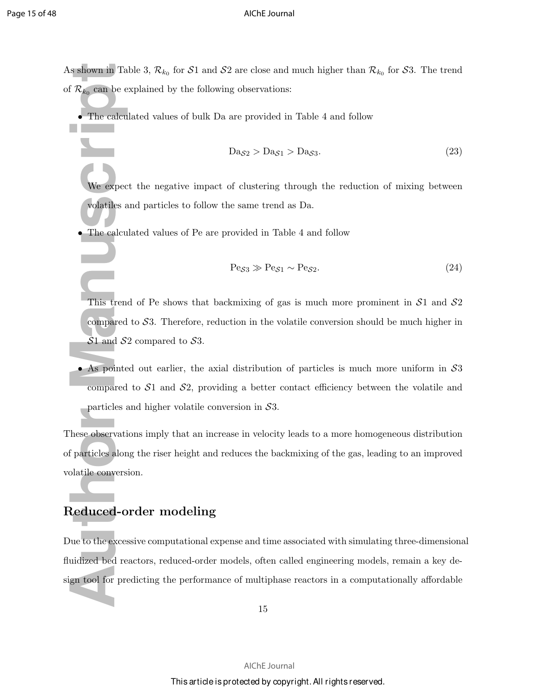As shown in Table 3,  $\mathcal{R}_{k_0}$  for  $\mathcal{S}1$  and  $\mathcal{S}2$  are close and much higher than  $\mathcal{R}_{k_0}$  for  $\mathcal{S}3$ . The trend of  $\mathcal{R}_{k_0}$  can be explained by the following observations:

• The calculated values of bulk Da are provided in Table 4 and follow

$$
Da_{S2} > Da_{S1} > Da_{S3}.
$$
\n(23)

We expect the negative impact of clustering through the reduction of mixing between volatiles and particles to follow the same trend as Da.

• The calculated values of Pe are provided in Table 4 and follow

$$
\text{Pe}_{S3} \gg \text{Pe}_{S1} \sim \text{Pe}_{S2}. \tag{24}
$$

This trend of Pe shows that backmixing of gas is much more prominent in  $S1$  and  $S2$ compared to  $S3$ . Therefore, reduction in the volatile conversion should be much higher in  $S1$  and  $S2$  compared to  $S3$ .

• As pointed out earlier, the axial distribution of particles is much more uniform in S3 compared to  $S_1$  and  $S_2$ , providing a better contact efficiency between the volatile and particles and higher volatile conversion in  $S3$ .

FR $k_0$  can be expect<br>
The calcula<br>
We expect<br>
We expect<br>
We expect<br>
We expect<br>
We expect<br>
Manuscript<br>
This trend<br>
This trend<br>
Compared t<br>
S1 and S2<br>
As pointed<br>
compared t<br>
particles an<br>
Resolvervation<br>
S1 and S2<br>
As poi These observations imply that an increase in velocity leads to a more homogeneous distribution of particles along the riser height and reduces the backmixing of the gas, leading to an improved volatile conversion.

### Reduced-order modeling

Due to the excessive computational expense and time associated with simulating three-dimensional fluidized bed reactors, reduced-order models, often called engineering models, remain a key design tool for predicting the performance of multiphase reactors in a computationally affordable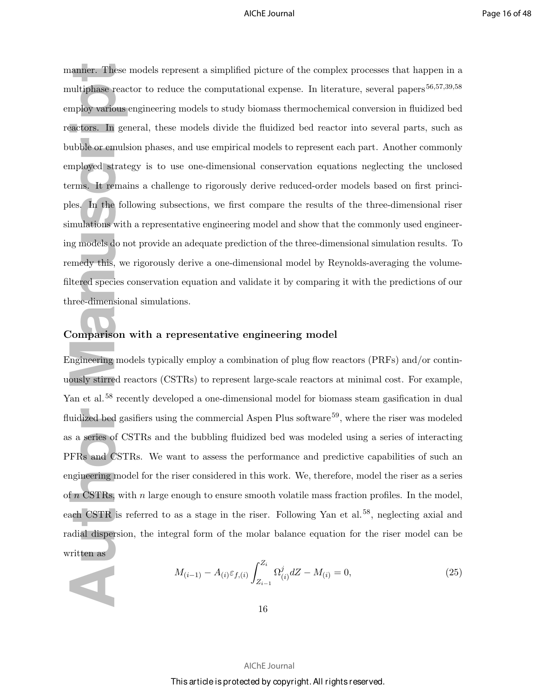**Example:** These multiphase react<br>
multiphase react<br>
multiphase react<br>
multiphase react<br>
multipoly various en<br>
multipoly strateg<br>
multipoly strateg<br>
multipoly this, we plusted by this, we plusted species core<br>
multipoly th manner. These models represent a simplified picture of the complex processes that happen in a multiphase reactor to reduce the computational expense. In literature, several papers<sup>56,57,39,58</sup> employ various engineering models to study biomass thermochemical conversion in fluidized bed reactors. In general, these models divide the fluidized bed reactor into several parts, such as bubble or emulsion phases, and use empirical models to represent each part. Another commonly employed strategy is to use one-dimensional conservation equations neglecting the unclosed terms. It remains a challenge to rigorously derive reduced-order models based on first principles. In the following subsections, we first compare the results of the three-dimensional riser simulations with a representative engineering model and show that the commonly used engineering models do not provide an adequate prediction of the three-dimensional simulation results. To remedy this, we rigorously derive a one-dimensional model by Reynolds-averaging the volumefiltered species conservation equation and validate it by comparing it with the predictions of our three-dimensional simulations.

### Comparison with a representative engineering model

Engineering models typically employ a combination of plug flow reactors (PRFs) and/or continuously stirred reactors (CSTRs) to represent large-scale reactors at minimal cost. For example, Yan et al.<sup>58</sup> recently developed a one-dimensional model for biomass steam gasification in dual fluidized bed gasifiers using the commercial Aspen Plus software<sup>59</sup>, where the riser was modeled as a series of CSTRs and the bubbling fluidized bed was modeled using a series of interacting PFRs and CSTRs. We want to assess the performance and predictive capabilities of such an engineering model for the riser considered in this work. We, therefore, model the riser as a series of  $n$  CSTRs, with  $n$  large enough to ensure smooth volatile mass fraction profiles. In the model, each CSTR is referred to as a stage in the riser. Following Yan et al.<sup>58</sup>, neglecting axial and radial dispersion, the integral form of the molar balance equation for the riser model can be written as

$$
M_{(i-1)} - A_{(i)} \varepsilon_{f,(i)} \int_{Z_{i-1}}^{Z_i} \Omega^j_{(i)} dZ - M_{(i)} = 0,
$$
\n(25)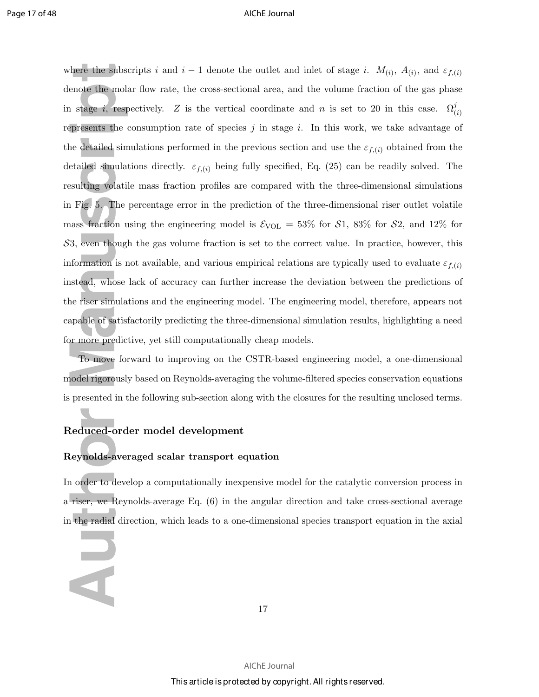there the subscreed and a stage *i*, respersents the condensity of the molar presents the condensities of the right of Fig. 5. The persus fraction usi 3, even though formation is no stead, whose later is simulation is no s where the subscripts i and  $i-1$  denote the outlet and inlet of stage i.  $M_{(i)}$ ,  $A_{(i)}$ , and  $\varepsilon_{f,(i)}$ denote the molar flow rate, the cross-sectional area, and the volume fraction of the gas phase in stage *i*, respectively. Z is the vertical coordinate and n is set to 20 in this case.  $\Omega_{(i)}^j$ represents the consumption rate of species  $j$  in stage  $i$ . In this work, we take advantage of the detailed simulations performed in the previous section and use the  $\varepsilon_{f,(i)}$  obtained from the detailed simulations directly.  $\varepsilon_{f,(i)}$  being fully specified, Eq. (25) can be readily solved. The resulting volatile mass fraction profiles are compared with the three-dimensional simulations in Fig. 5. The percentage error in the prediction of the three-dimensional riser outlet volatile mass fraction using the engineering model is  $\mathcal{E}_{VOL} = 53\%$  for  $\mathcal{S}1$ , 83% for  $\mathcal{S}2$ , and 12% for  $\mathcal{S}3$ , even though the gas volume fraction is set to the correct value. In practice, however, this information is not available, and various empirical relations are typically used to evaluate  $\varepsilon_{f,(i)}$ instead, whose lack of accuracy can further increase the deviation between the predictions of the riser simulations and the engineering model. The engineering model, therefore, appears not capable of satisfactorily predicting the three-dimensional simulation results, highlighting a need for more predictive, yet still computationally cheap models.

To move forward to improving on the CSTR-based engineering model, a one-dimensional model rigorously based on Reynolds-averaging the volume-filtered species conservation equations is presented in the following sub-section along with the closures for the resulting unclosed terms.

### Reduced-order model development

Z

### Reynolds-averaged scalar transport equation

In order to develop a computationally inexpensive model for the catalytic conversion process in a riser, we Reynolds-average Eq. (6) in the angular direction and take cross-sectional average in the radial direction, which leads to a one-dimensional species transport equation in the axial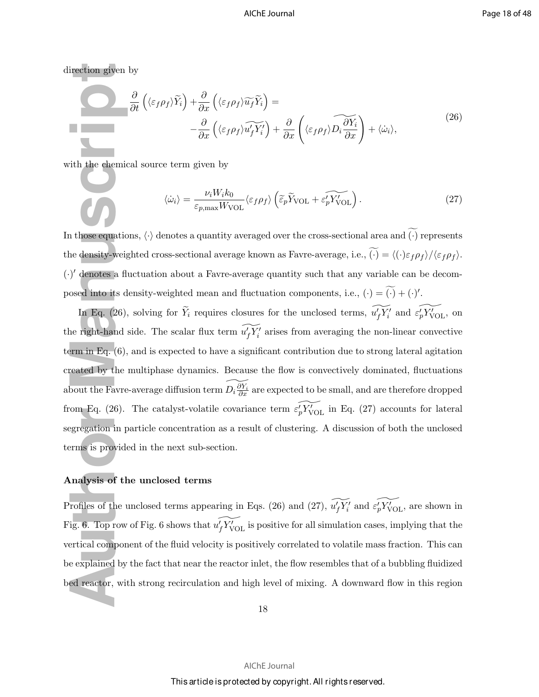direction given by

a.

$$
\frac{\partial}{\partial t} \left( \langle \varepsilon_f \rho_f \rangle \widetilde{Y}_i \right) + \frac{\partial}{\partial x} \left( \langle \varepsilon_f \rho_f \rangle \widetilde{u}_f \widetilde{Y}_i \right) = -\frac{\partial}{\partial x} \left( \langle \varepsilon_f \rho_f \rangle \widetilde{u}_f' \widetilde{Y}_i' \right) + \frac{\partial}{\partial x} \left( \langle \varepsilon_f \rho_f \rangle \widetilde{D_i \frac{\partial Y_i}{\partial x}} \right) + \langle \dot{\omega}_i \rangle, \tag{26}
$$

with the chemical source term given by

$$
\langle \dot{\omega}_i \rangle = \frac{\nu_i W_i k_0}{\varepsilon_{p,\text{max}} W_{\text{VOL}}} \langle \varepsilon_f \rho_f \rangle \left( \widetilde{\varepsilon}_p \widetilde{Y}_{\text{VOL}} + \widetilde{\varepsilon'_p Y_{\text{VOL}}} \right). \tag{27}
$$

In those equations,  $\langle \cdot \rangle$  denotes a quantity averaged over the cross-sectional area and  $\widetilde{(\cdot)}$  represents the density-weighted cross-sectional average known as Favre-average, i.e.,  $\widetilde{(\cdot)} = \langle (\cdot) \varepsilon_f \rho_f \rangle / \langle \varepsilon_f \rho_f \rangle$ . (·) ′ denotes a fluctuation about a Favre-average quantity such that any variable can be decomposed into its density-weighted mean and fluctuation components, i.e.,  $(\cdot) = (\cdot) + (\cdot)'$ .

Fraction given by<br>  $\frac{\delta}{\delta}$ <br>  $\frac{\delta}{\delta}$ <br>  $\frac{\delta}{\delta}$ <br>  $\frac{\delta}{\delta}$ <br>  $\frac{\delta}{\delta}$ <br>  $\frac{\delta}{\delta}$ <br>  $\frac{\delta}{\delta}$ <br>  $\frac{\delta}{\delta}$ <br>  $\frac{\delta}{\delta}$ <br>  $\frac{\delta}{\delta}$ <br>  $\frac{\delta}{\delta}$ <br>  $\frac{\delta}{\delta}$ <br>  $\frac{\delta}{\delta}$ <br>  $\frac{\delta}{\delta}$ <br>  $\frac{\delta}{\delta}$ <br>  $\frac{\delta}{\delta}$ <br>  $\frac{\delta}{\delta}$ In Eq. (26), solving for  $\tilde{Y}_i$  requires closures for the unclosed terms,  $\widetilde{u'_f Y'_i}$  and  $\widetilde{\varepsilon_p Y'_{VOL}}$ , on the right-hand side. The scalar flux term  $\widetilde{u_f'Y_i'}$  arises from averaging the non-linear convective term in Eq. (6), and is expected to have a significant contribution due to strong lateral agitation created by the multiphase dynamics. Because the flow is convectively dominated, fluctuations about the Favre-average diffusion term  $\widetilde{D_i \frac{\partial Y_i}{\partial x}}$  are expected to be small, and are therefore dropped from Eq. (26). The catalyst-volatile covariance term  $\widetilde{\varepsilon'_{p}Y'_{VOL}}$  in Eq. (27) accounts for lateral segregation in particle concentration as a result of clustering. A discussion of both the unclosed terms is provided in the next sub-section.

### Analysis of the unclosed terms

Profiles of the unclosed terms appearing in Eqs. (26) and (27),  $\widetilde{u_f'Y_i'}$  and  $\widetilde{e_p'Y_{\text{VOL}}}$ , are shown in Fig. 6. Top row of Fig. 6 shows that  $\widetilde{u_f'Y_{\text{VOL}}}$  is positive for all simulation cases, implying that the vertical component of the fluid velocity is positively correlated to volatile mass fraction. This can be explained by the fact that near the reactor inlet, the flow resembles that of a bubbling fluidized bed reactor, with strong recirculation and high level of mixing. A downward flow in this region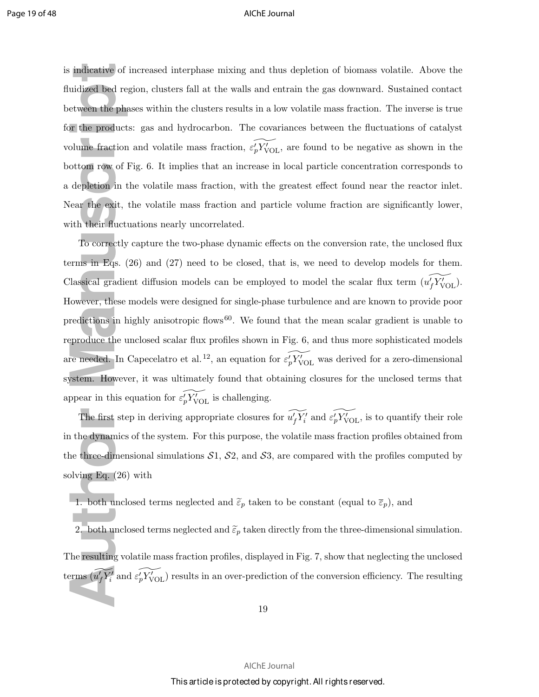is indicative of increased interphase mixing and thus depletion of biomass volatile. Above the fluidized bed region, clusters fall at the walls and entrain the gas downward. Sustained contact between the phases within the clusters results in a low volatile mass fraction. The inverse is true for the products: gas and hydrocarbon. The covariances between the fluctuations of catalyst volume fraction and volatile mass fraction,  $\widetilde{\varepsilon'_{p} Y'_{VOL}}$ , are found to be negative as shown in the bottom row of Fig. 6. It implies that an increase in local particle concentration corresponds to a depletion in the volatile mass fraction, with the greatest effect found near the reactor inlet. Near the exit, the volatile mass fraction and particle volume fraction are significantly lower, with their fluctuations nearly uncorrelated.

indicative of ir<br>
uidized bed regi<br>
etween the phas<br>
or the products:<br>
blume fraction is<br>
ottom row of Fi<br>
depletion in th<br>
fear the exit, th<br>
ith their fluctua<br>
To correctly c<br>
rms in Eqs. (20<br>
llassical gradien<br>
iowever To correctly capture the two-phase dynamic effects on the conversion rate, the unclosed flux terms in Eqs. (26) and (27) need to be closed, that is, we need to develop models for them. Classical gradient diffusion models can be employed to model the scalar flux term  $(u_f' Y'_{VOL})$ . However, these models were designed for single-phase turbulence and are known to provide poor predictions in highly anisotropic flows<sup>60</sup>. We found that the mean scalar gradient is unable to reproduce the unclosed scalar flux profiles shown in Fig. 6, and thus more sophisticated models are needed. In Capecelatro et al.<sup>12</sup>, an equation for  $\widetilde{e'_p Y'_{\text{VOL}}}$  was derived for a zero-dimensional system. However, it was ultimately found that obtaining closures for the unclosed terms that appear in this equation for  $\widetilde{\varepsilon_p' Y'_{\text{VOL}}}$  is challenging.

The first step in deriving appropriate closures for  $\widetilde{u'_fY'_i}$  and  $\widetilde{\varepsilon'_pY'_{\text{VOL}}}$ , is to quantify their role in the dynamics of the system. For this purpose, the volatile mass fraction profiles obtained from the three-dimensional simulations  $S1$ ,  $S2$ , and  $S3$ , are compared with the profiles computed by solving Eq. (26) with

- 1. both unclosed terms neglected and  $\tilde{\varepsilon}_p$  taken to be constant (equal to  $\bar{\varepsilon}_p$ ), and
- 2. both unclosed terms neglected and  $\tilde{\varepsilon}_p$  taken directly from the three-dimensional simulation.

The resulting volatile mass fraction profiles, displayed in Fig. 7, show that neglecting the unclosed terms  $(\widetilde{u'_fY'_i}$  and  $\widetilde{\varepsilon'_pY'_{\text{VOL}}})$  results in an over-prediction of the conversion efficiency. The resulting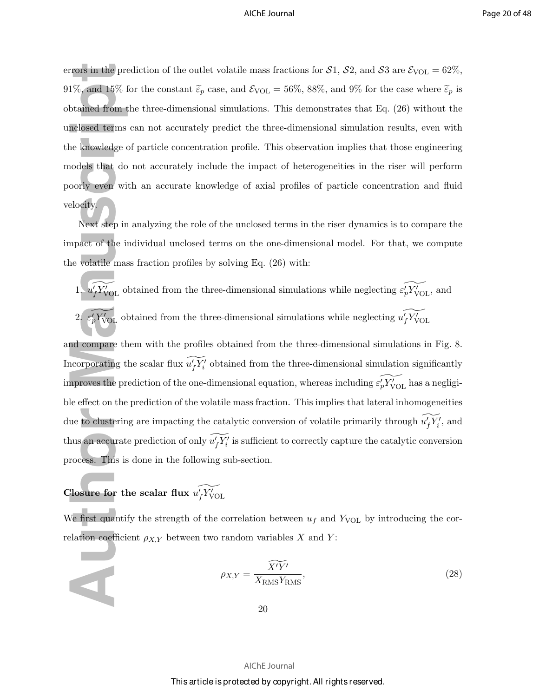errors in the prediction of the outlet volatile mass fractions for  $S1$ ,  $S2$ , and  $S3$  are  $\mathcal{E}_{\text{VOL}} = 62\%$ , 91%, and 15% for the constant  $\tilde{\varepsilon}_p$  case, and  $\mathcal{E}_{\text{VOL}} = 56\%$ , 88%, and 9% for the case where  $\tilde{\varepsilon}_p$  is obtained from the three-dimensional simulations. This demonstrates that Eq. (26) without the unclosed terms can not accurately predict the three-dimensional simulation results, even with the knowledge of particle concentration profile. This observation implies that those engineering models that do not accurately include the impact of heterogeneities in the riser will perform poorly even with an accurate knowledge of axial profiles of particle concentration and fluid velocity.

Next step in analyzing the role of the unclosed terms in the riser dynamics is to compare the impact of the individual unclosed terms on the one-dimensional model. For that, we compute the volatile mass fraction profiles by solving Eq. (26) with:

From the pred<br>1%, and 15% for<br>btained from the<br>nelosed terms c<br>ne knowledge of<br>nodels that do 1<br>oorly even with<br>elocity.<br>Next step in a<br>mpact of the incorporating<br>neparation as<br>2.  $\epsilon'_p Y'_{\text{VOL}}$  obt<br>2.  $\epsilon'_p Y'_{\text{VOL}}$  ob 1.  $u_f' Y_{\text{VOL}}'$  obtained from the three-dimensional simulations while neglecting  $\widetilde{\varepsilon_p' Y_{\text{VOL}}}$ , and 2.  $\widetilde{\epsilon'_{p} Y'_{\text{VOL}}}$  obtained from the three-dimensional simulations while neglecting  $\widetilde{u'_{f} Y'_{\text{VOL}}}$ and compare them with the profiles obtained from the three-dimensional simulations in Fig. 8. Incorporating the scalar flux  $\widetilde{u_f'Y_i'}$  obtained from the three-dimensional simulation significantly improves the prediction of the one-dimensional equation, whereas including  $\widetilde{\varepsilon'_p Y'_{\text{VOL}}}$  has a negligible effect on the prediction of the volatile mass fraction. This implies that lateral inhomogeneities due to clustering are impacting the catalytic conversion of volatile primarily through  $\widetilde{u_f'Y_i'}$ , and thus an accurate prediction of only  $\widetilde{u'_fY'_i}$  is sufficient to correctly capture the catalytic conversion process. This is done in the following sub-section.

### Closure for the scalar flux  $\widetilde{u_f'Y_{\text{VOL}}}$

We first quantify the strength of the correlation between  $u_f$  and  $Y_{VOL}$  by introducing the correlation coefficient  $\rho_{X,Y}$  between two random variables X and Y:

$$
\rho_{X,Y} = \frac{\widetilde{X'Y'}}{X_{\text{RMS}} Y_{\text{RMS}}},\tag{28}
$$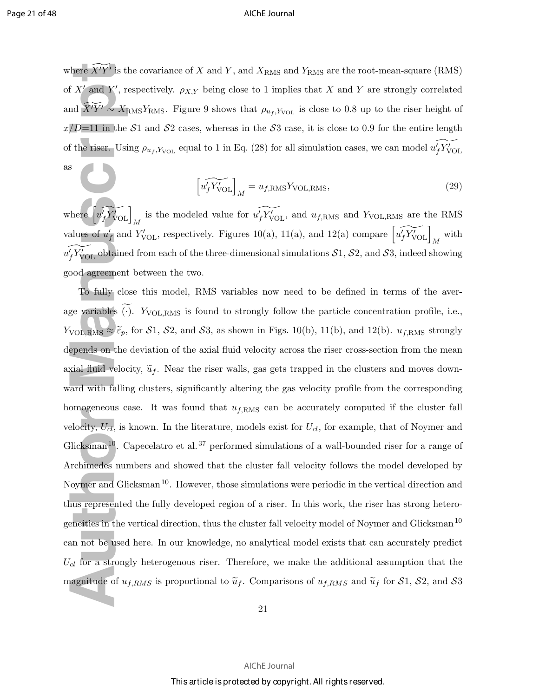where  $\widetilde{X'Y'}$  is the covariance of X and Y, and  $X_{\text{RMS}}$  and  $Y_{\text{RMS}}$  are the root-mean-square (RMS) of X' and Y', respectively.  $\rho_{X,Y}$  being close to 1 implies that X and Y are strongly correlated and  $\widetilde{X'Y'} \sim X_{\rm RMS}Y_{\rm RMS}$ . Figure 9 shows that  $\rho_{u_f,Y_{\rm VOL}}$  is close to 0.8 up to the riser height of  $x/D=11$  in the S1 and S2 cases, whereas in the S3 case, it is close to 0.9 for the entire length of the riser. Using  $\rho_{u_f,Y_{\text{VOL}}}$  equal to 1 in Eq. (28) for all simulation cases, we can model  $\widetilde{u_f'Y_{\text{VOL}}}$ as

$$
\left[\widetilde{u_f'}\widetilde{Y_{\text{VOL}}}\right]_M = u_{f,\text{RMS}}Y_{\text{VOL,RMS}},\tag{29}
$$

where  $\left[\widetilde{u_f'Y'_{\text{VOL}}}\right]_M$  is the modeled value for  $\widetilde{u_f'Y'_{\text{VOL}}}$ , and  $u_{f,\text{RMS}}$  and  $Y_{\text{VOL,RMS}}$  are the RMS values of  $u'_{f}$  and  $Y'_{\text{VOL}}$ , respectively. Figures 10(a), 11(a), and 12(a) compare  $\left[\widetilde{u'_{f}Y'_{\text{VOL}}}\right]_{M}$  with  $\widetilde{u^\prime_f Y^\prime_{\rm VOL}}$  obtained from each of the three-dimensional simulations  ${\cal S}1, {\cal S}2,$  and  ${\cal S}3,$  indeed showing good agreement between the two.

there  $\widetilde{X'Y'}$  is the<br>
f X' and Y', res<br>
and  $\widetilde{X'Y'} \sim X_{\text{R}}$ <br>  $/D=11$  in the  $\mathcal{S}$ <br>
f the riser. Usin<br>
s<br>
here  $\begin{bmatrix} u'_f Y'_{\text{VOL}} \\ u'_f Y'_{\text{VOL}} \end{bmatrix}$ <br>
alues of  $u'_f$  and<br>  $\begin{bmatrix} u'_f Y'_{\text{VOL}} \\ v \end{bmatrix}$ <br>
alues of To fully close this model, RMS variables now need to be defined in terms of the average variables  $\widetilde{(\cdot)}$ .  $Y_{\text{VOL,RMS}}$  is found to strongly follow the particle concentration profile, i.e.,  $Y_{\text{VOL,RMS}} \approx \tilde{\varepsilon}_p$ , for  $S1$ ,  $S2$ , and  $S3$ , as shown in Figs. 10(b), 11(b), and 12(b).  $u_{f,\text{RMS}}$  strongly depends on the deviation of the axial fluid velocity across the riser cross-section from the mean axial fluid velocity,  $\tilde{u}_f$ . Near the riser walls, gas gets trapped in the clusters and moves downward with falling clusters, significantly altering the gas velocity profile from the corresponding homogeneous case. It was found that  $u_{f,\text{RMS}}$  can be accurately computed if the cluster fall velocity,  $U_{cl}$ , is known. In the literature, models exist for  $U_{cl}$ , for example, that of Noymer and Glicksman<sup>10</sup>. Capecelatro et al.<sup>37</sup> performed simulations of a wall-bounded riser for a range of Archimedes numbers and showed that the cluster fall velocity follows the model developed by Noymer and Glicksman<sup>10</sup>. However, those simulations were periodic in the vertical direction and thus represented the fully developed region of a riser. In this work, the riser has strong heterogeneities in the vertical direction, thus the cluster fall velocity model of Noymer and Glicksman<sup>10</sup> can not be used here. In our knowledge, no analytical model exists that can accurately predict  $U_{cl}$  for a strongly heterogenous riser. Therefore, we make the additional assumption that the magnitude of  $u_{f,RMS}$  is proportional to  $\tilde{u}_f$ . Comparisons of  $u_{f,RMS}$  and  $\tilde{u}_f$  for  $S1$ ,  $S2$ , and  $S3$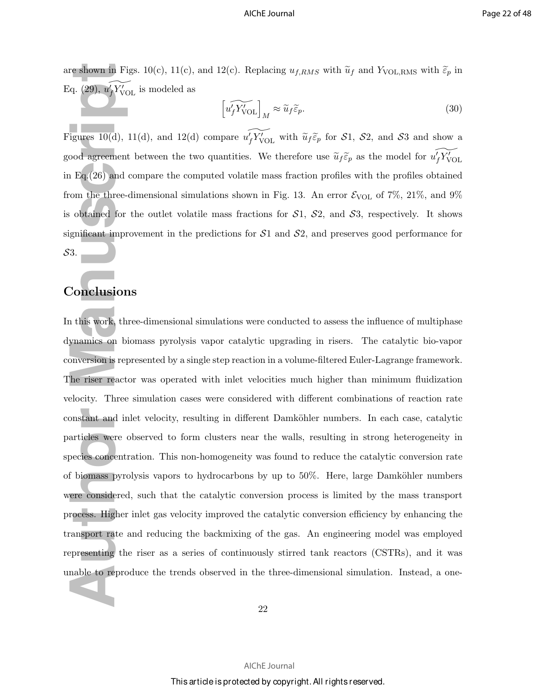are shown in Figs. 10(c), 11(c), and 12(c). Replacing  $u_{f,RMS}$  with  $\widetilde{u}_f$  and  $Y_{\text{VOL,RMS}}$  with  $\widetilde{\varepsilon}_p$  in Eq. (29),  $\widetilde{u_f'}\widetilde{Y'_{\text{VOL}}}$  is modeled as

$$
\left[\widetilde{u_f'Y_{\text{VOL}}}\right]_M \approx \widetilde{u}_f \widetilde{\varepsilon}_p. \tag{30}
$$

Figures 10(d), 11(d), and 12(d) compare  $\widetilde{u_f'Y'_{VOL}}$  with  $\widetilde{u}_f \widetilde{\varepsilon}_p$  for S1, S2, and S3 and show a good agreement between the two quantities. We therefore use  $\tilde{u}_f \tilde{\varepsilon}_p$  as the model for  $\widetilde{u'_f Y'_{\text{VOL}}}$ in Eq.(26) and compare the computed volatile mass fraction profiles with the profiles obtained from the three-dimensional simulations shown in Fig. 13. An error  $\mathcal{E}_{\text{VOL}}$  of 7%, 21%, and 9% is obtained for the outlet volatile mass fractions for  $S_1$ ,  $S_2$ , and  $S_3$ , respectively. It shows significant improvement in the predictions for  $S1$  and  $S2$ , and preserves good performance for S3.

### Conclusions

Fractionary in Fig. 4. (29),  $u_f' Y_{\text{VOL}}'$ <br>igures 10(d), 11<br>igures 10(d), 11<br>igures 10(d), 11<br>coord agreement<br>in Eq. (26) and comment in Fraction<br>of the sum of the sum of the sum of the sum of the sum of<br>interactions in In this work, three-dimensional simulations were conducted to assess the influence of multiphase dynamics on biomass pyrolysis vapor catalytic upgrading in risers. The catalytic bio-vapor conversion is represented by a single step reaction in a volume-filtered Euler-Lagrange framework. The riser reactor was operated with inlet velocities much higher than minimum fluidization velocity. Three simulation cases were considered with different combinations of reaction rate constant and inlet velocity, resulting in different Damköhler numbers. In each case, catalytic particles were observed to form clusters near the walls, resulting in strong heterogeneity in species concentration. This non-homogeneity was found to reduce the catalytic conversion rate of biomass pyrolysis vapors to hydrocarbons by up to  $50\%$ . Here, large Damköhler numbers were considered, such that the catalytic conversion process is limited by the mass transport process. Higher inlet gas velocity improved the catalytic conversion efficiency by enhancing the transport rate and reducing the backmixing of the gas. An engineering model was employed representing the riser as a series of continuously stirred tank reactors (CSTRs), and it was unable to reproduce the trends observed in the three-dimensional simulation. Instead, a one-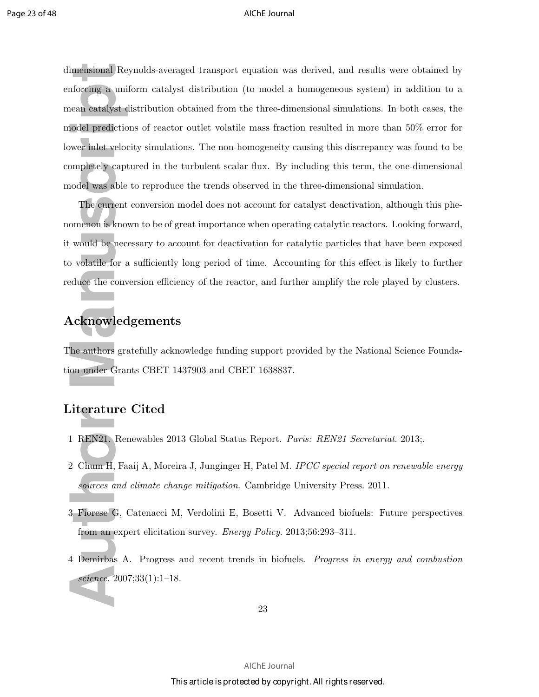imensional Reynator<br>
an catalyst distinct the uniform over inlet velocity<br>
and catalyst distinct the velocity<br>
and the velocity capture of the current comenon is know.<br>
would be neces<br>
be volatile for a seduce the convert<br> dimensional Reynolds-averaged transport equation was derived, and results were obtained by enforcing a uniform catalyst distribution (to model a homogeneous system) in addition to a mean catalyst distribution obtained from the three-dimensional simulations. In both cases, the model predictions of reactor outlet volatile mass fraction resulted in more than 50% error for lower inlet velocity simulations. The non-homogeneity causing this discrepancy was found to be completely captured in the turbulent scalar flux. By including this term, the one-dimensional model was able to reproduce the trends observed in the three-dimensional simulation.

The current conversion model does not account for catalyst deactivation, although this phenomenon is known to be of great importance when operating catalytic reactors. Looking forward, it would be necessary to account for deactivation for catalytic particles that have been exposed to volatile for a sufficiently long period of time. Accounting for this effect is likely to further reduce the conversion efficiency of the reactor, and further amplify the role played by clusters.

### Acknowledgements

The authors gratefully acknowledge funding support provided by the National Science Foundation under Grants CBET 1437903 and CBET 1638837.

### Literature Cited

- 1 REN21. Renewables 2013 Global Status Report. *Paris: REN21 Secretariat*. 2013;.
- 2 Chum H, Faaij A, Moreira J, Junginger H, Patel M. *IPCC special report on renewable energy sources and climate change mitigation*. Cambridge University Press. 2011.
- 3 Fiorese G, Catenacci M, Verdolini E, Bosetti V. Advanced biofuels: Future perspectives from an expert elicitation survey. *Energy Policy*. 2013;56:293–311.
- 4 Demirbas A. Progress and recent trends in biofuels. *Progress in energy and combustion science*. 2007;33(1):1–18.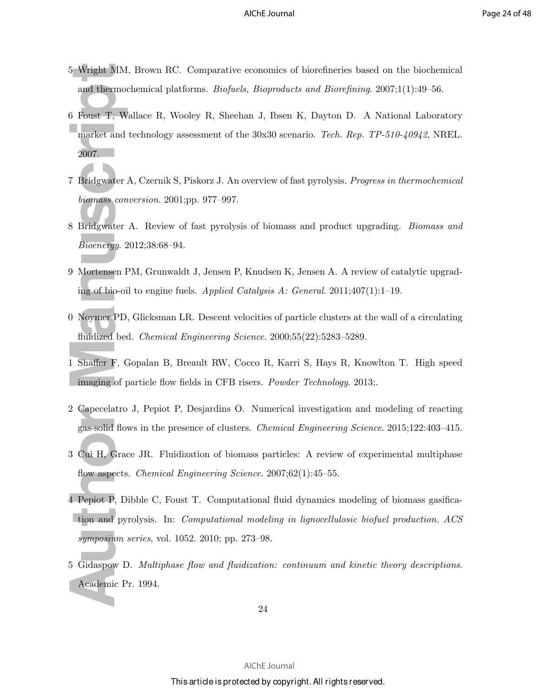- 5 Wright MM, Brown RC. Comparative economics of biorefineries based on the biochemical and thermochemical platforms. *Biofuels, Bioproducts and Biorefining*. 2007;1(1):49–56.
- 5 Wright MM,<br>
and thermoch<br>
6 Foust T, Wal<br>
market and te<br>
2007.<br>
7 Bridgwater A<br>
biomass conve<br>
8 Bridgwater A<br>
Bioenergy. 20<br>
9 Mortensen PN<br>
ing of bio-oil<br>
9 Mortensen PD, (<br>
fluidized bed.<br>
1 Shaffer F, Gc<br>
imaging of 6 Foust T, Wallace R, Wooley R, Sheehan J, Ibsen K, Dayton D. A National Laboratory market and technology assessment of the 30x30 scenario. *Tech. Rep. TP-510-40942*, NREL. 2007.
- 7 Bridgwater A, Czernik S, Piskorz J. An overview of fast pyrolysis. *Progress in thermochemical biomass conversion*. 2001;pp. 977–997.
- 8 Bridgwater A. Review of fast pyrolysis of biomass and product upgrading. *Biomass and Bioenergy*. 2012;38:68–94.
- 9 Mortensen PM, Grunwaldt J, Jensen P, Knudsen K, Jensen A. A review of catalytic upgrading of bio-oil to engine fuels. *Applied Catalysis A: General*. 2011;407(1):1–19.
- 0 Noymer PD, Glicksman LR. Descent velocities of particle clusters at the wall of a circulating fluidized bed. *Chemical Engineering Science*. 2000;55(22):5283–5289.
- 1 Shaffer F, Gopalan B, Breault RW, Cocco R, Karri S, Hays R, Knowlton T. High speed imaging of particle flow fields in CFB risers. *Powder Technology*. 2013;.
- 2 Capecelatro J, Pepiot P, Desjardins O. Numerical investigation and modeling of reacting gas-solid flows in the presence of clusters. *Chemical Engineering Science*. 2015;122:403–415.
- 3 Cui H, Grace JR. Fluidization of biomass particles: A review of experimental multiphase flow aspects. *Chemical Engineering Science*. 2007;62(1):45–55.
- 4 Pepiot P, Dibble C, Foust T. Computational fluid dynamics modeling of biomass gasification and pyrolysis. In: *Computational modeling in lignocellulosic biofuel production. ACS symposium series*, vol. 1052. 2010; pp. 273–98.
- 5 Gidaspow D. *Multiphase flow and fluidization: continuum and kinetic theory descriptions*. Academic Pr. 1994.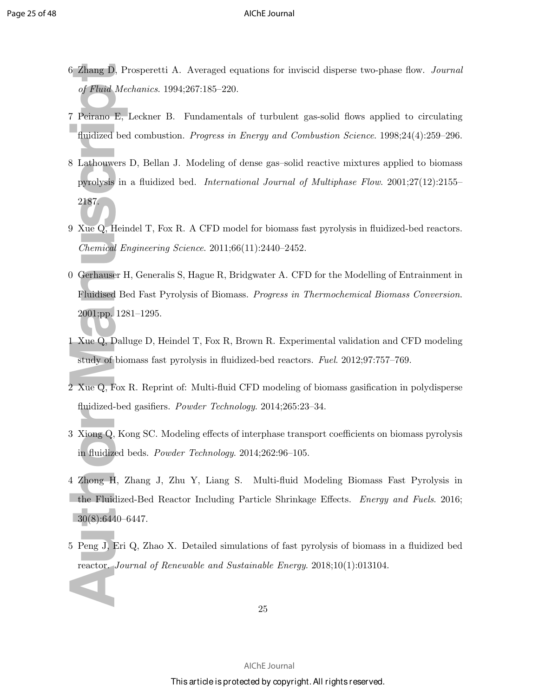- 6 Zhang D, Prosperetti A. Averaged equations for inviscid disperse two-phase flow. *Journal of Fluid Mechanics*. 1994;267:185–220.
- 7 Peirano E, Leckner B. Fundamentals of turbulent gas-solid flows applied to circulating fluidized bed combustion. *Progress in Energy and Combustion Science*. 1998;24(4):259–296.
- 6 Zhang D, Prc<br>
of Fluid Meck<br>
7 Peirano E, L<br>
fluidized bed<br>
8 Lathouwers L<br>
pyrolysis in a<br>
2187.<br>
9 Xue Q, Heind<br> *Chemical Eng*<br>
0 Gerhauser H,<br>
Fluidised Bed<br>
2001;pp. 1281<br>
1 Xue Q, Dallu<sub>g</sub><br>
study of biom<br>
2 Xue Q, 8 Lathouwers D, Bellan J. Modeling of dense gas–solid reactive mixtures applied to biomass pyrolysis in a fluidized bed. *International Journal of Multiphase Flow*. 2001;27(12):2155– 2187.
- 9 Xue Q, Heindel T, Fox R. A CFD model for biomass fast pyrolysis in fluidized-bed reactors. *Chemical Engineering Science*. 2011;66(11):2440–2452.
- 0 Gerhauser H, Generalis S, Hague R, Bridgwater A. CFD for the Modelling of Entrainment in Fluidised Bed Fast Pyrolysis of Biomass. *Progress in Thermochemical Biomass Conversion*. 2001;pp. 1281–1295.
- 1 Xue Q, Dalluge D, Heindel T, Fox R, Brown R. Experimental validation and CFD modeling study of biomass fast pyrolysis in fluidized-bed reactors. *Fuel*. 2012;97:757–769.
- 2 Xue Q, Fox R. Reprint of: Multi-fluid CFD modeling of biomass gasification in polydisperse fluidized-bed gasifiers. *Powder Technology*. 2014;265:23–34.
- 3 Xiong Q, Kong SC. Modeling effects of interphase transport coefficients on biomass pyrolysis in fluidized beds. *Powder Technology*. 2014;262:96–105.
- 4 Zhong H, Zhang J, Zhu Y, Liang S. Multi-fluid Modeling Biomass Fast Pyrolysis in the Fluidized-Bed Reactor Including Particle Shrinkage Effects. *Energy and Fuels*. 2016; 30(8):6440–6447.
- 5 Peng J, Eri Q, Zhao X. Detailed simulations of fast pyrolysis of biomass in a fluidized bed reactor. *Journal of Renewable and Sustainable Energy*. 2018;10(1):013104.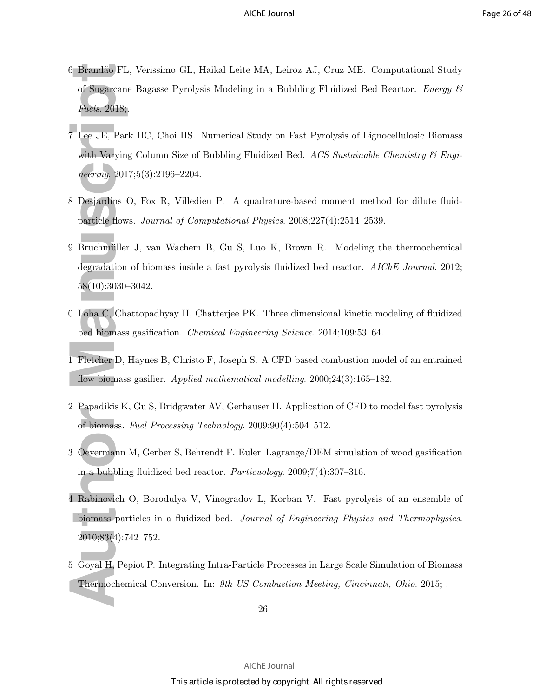- 6 Brand˜ao FL, Verissimo GL, Haikal Leite MA, Leiroz AJ, Cruz ME. Computational Study of Sugarcane Bagasse Pyrolysis Modeling in a Bubbling Fluidized Bed Reactor. *Energy & Fuels*. 2018;.
- 6 Brandão FL,<br>
of Sugarcane<br> *Fuels.* 2018;<br>
7 Lee JE, Park<br>
with Varying<br> *neering.* 2017;<br>
8 Desjardins O.<br>
particle flows.<br>
9 Bruchmüller<br>
degradation c<br>
58(10):3030–3<br>
0 Loha C, Chat<br>
bed biomass g<br>
1 Fletcher D, H<br>
fl 7 Lee JE, Park HC, Choi HS. Numerical Study on Fast Pyrolysis of Lignocellulosic Biomass with Varying Column Size of Bubbling Fluidized Bed. *ACS Sustainable Chemistry & Engineering*. 2017;5(3):2196–2204.
- 8 Desjardins O, Fox R, Villedieu P. A quadrature-based moment method for dilute fluidparticle flows. *Journal of Computational Physics*. 2008;227(4):2514–2539.
- 9 Bruchmüller J, van Wachem B, Gu S, Luo K, Brown R. Modeling the thermochemical degradation of biomass inside a fast pyrolysis fluidized bed reactor. *AIChE Journal*. 2012; 58(10):3030–3042.
- 0 Loha C, Chattopadhyay H, Chatterjee PK. Three dimensional kinetic modeling of fluidized bed biomass gasification. *Chemical Engineering Science*. 2014;109:53–64.
- 1 Fletcher D, Haynes B, Christo F, Joseph S. A CFD based combustion model of an entrained flow biomass gasifier. *Applied mathematical modelling*. 2000;24(3):165–182.
- 2 Papadikis K, Gu S, Bridgwater AV, Gerhauser H. Application of CFD to model fast pyrolysis of biomass. *Fuel Processing Technology*. 2009;90(4):504–512.
- 3 Oevermann M, Gerber S, Behrendt F. Euler–Lagrange/DEM simulation of wood gasification in a bubbling fluidized bed reactor. *Particuology*. 2009;7(4):307–316.
- 4 Rabinovich O, Borodulya V, Vinogradov L, Korban V. Fast pyrolysis of an ensemble of biomass particles in a fluidized bed. *Journal of Engineering Physics and Thermophysics*. 2010;83(4):742–752.
- 5 Goyal H, Pepiot P. Integrating Intra-Particle Processes in Large Scale Simulation of Biomass Thermochemical Conversion. In: *9th US Combustion Meeting, Cincinnati, Ohio*. 2015; .

26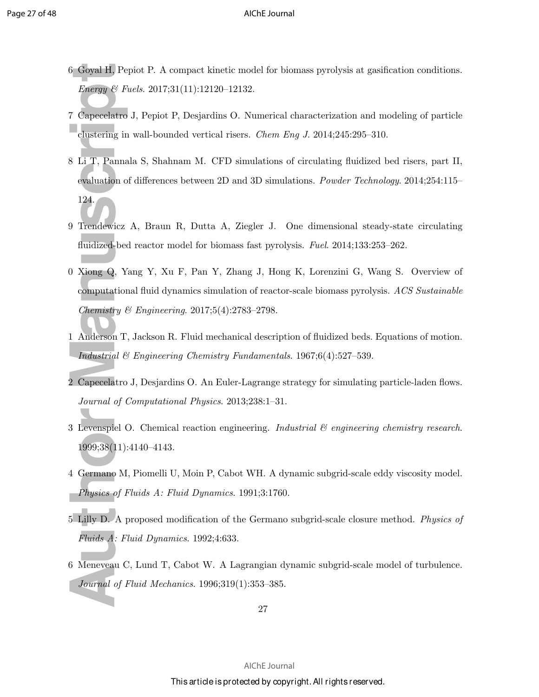- 6 Goyal H, Pepiot P. A compact kinetic model for biomass pyrolysis at gasification conditions. *Energy & Fuels*. 2017;31(11):12120–12132.
- 7 Capecelatro J, Pepiot P, Desjardins O. Numerical characterization and modeling of particle clustering in wall-bounded vertical risers. *Chem Eng J*. 2014;245:295–310.
- 8 Li T, Pannala S, Shahnam M. CFD simulations of circulating fluidized bed risers, part II, evaluation of differences between 2D and 3D simulations. *Powder Technology*. 2014;254:115– 124.
- 9 Trendewicz A, Braun R, Dutta A, Ziegler J. One dimensional steady-state circulating fluidized-bed reactor model for biomass fast pyrolysis. *Fuel*. 2014;133:253–262.
- 6 Goyal H, Pepi<br> *Energy* & Fue<br>
7 Capecelatro J<br>
clustering in v<br>
8 Li T, Pannala<br>
evaluation of<br>
124.<br>
9 Trendewicz A<br>
fluidized-bed<br>
124.<br>
9 Trendewicz A<br>
fluidized-bed<br>
124.<br>
9 Trendewicz A<br>
fluidized-bed<br>
12 Capecelat 0 Xiong Q, Yang Y, Xu F, Pan Y, Zhang J, Hong K, Lorenzini G, Wang S. Overview of computational fluid dynamics simulation of reactor-scale biomass pyrolysis. *ACS Sustainable Chemistry & Engineering*. 2017;5(4):2783–2798.
- 1 Anderson T, Jackson R. Fluid mechanical description of fluidized beds. Equations of motion. *Industrial & Engineering Chemistry Fundamentals*. 1967;6(4):527–539.
- 2 Capecelatro J, Desjardins O. An Euler-Lagrange strategy for simulating particle-laden flows. *Journal of Computational Physics*. 2013;238:1–31.
- 3 Levenspiel O. Chemical reaction engineering. *Industrial & engineering chemistry research*. 1999;38(11):4140–4143.
- 4 Germano M, Piomelli U, Moin P, Cabot WH. A dynamic subgrid-scale eddy viscosity model. *Physics of Fluids A: Fluid Dynamics*. 1991;3:1760.
- 5 Lilly D. A proposed modification of the Germano subgrid-scale closure method. *Physics of Fluids A: Fluid Dynamics*. 1992;4:633.
- 6 Meneveau C, Lund T, Cabot W. A Lagrangian dynamic subgrid-scale model of turbulence. *Journal of Fluid Mechanics*. 1996;319(1):353–385.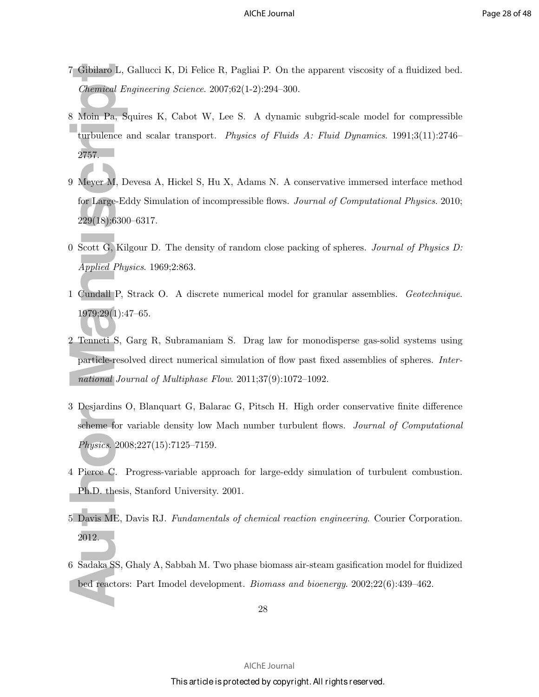- 7 Gibilaro L, Gallucci K, Di Felice R, Pagliai P. On the apparent viscosity of a fluidized bed. *Chemical Engineering Science*. 2007;62(1-2):294–300.
- 7 Gibilaro L, G<br> *Chemical Eng*<br>
8 Moin Pa, Squ<br>
turbulence ar<br>
2757.<br>
9 Meyer M, De<br>
for Large-Edd<br>
229(18):6300-<br>
0 Scott G, Kilg<br> *Applied Physt*<br>
1 Cundall P, St<br>
1979;29(1):47<br>
2 Tenneti S, G;<br>
particle-resoly<br> *natio* 8 Moin Pa, Squires K, Cabot W, Lee S. A dynamic subgrid-scale model for compressible turbulence and scalar transport. *Physics of Fluids A: Fluid Dynamics*. 1991;3(11):2746– 2757.
- 9 Meyer M, Devesa A, Hickel S, Hu X, Adams N. A conservative immersed interface method for Large-Eddy Simulation of incompressible flows. *Journal of Computational Physics*. 2010; 229(18):6300–6317.
- 0 Scott G, Kilgour D. The density of random close packing of spheres. *Journal of Physics D: Applied Physics*. 1969;2:863.
- 1 Cundall P, Strack O. A discrete numerical model for granular assemblies. *Geotechnique*. 1979;29(1):47–65.
- 2 Tenneti S, Garg R, Subramaniam S. Drag law for monodisperse gas-solid systems using particle-resolved direct numerical simulation of flow past fixed assemblies of spheres. *International Journal of Multiphase Flow*. 2011;37(9):1072–1092.
- 3 Desjardins O, Blanquart G, Balarac G, Pitsch H. High order conservative finite difference scheme for variable density low Mach number turbulent flows. *Journal of Computational Physics*. 2008;227(15):7125–7159.
- 4 Pierce C. Progress-variable approach for large-eddy simulation of turbulent combustion. Ph.D. thesis, Stanford University. 2001.
- 5 Davis ME, Davis RJ. *Fundamentals of chemical reaction engineering*. Courier Corporation. 2012.
- 6 Sadaka SS, Ghaly A, Sabbah M. Two phase biomass air-steam gasification model for fluidized bed reactors: Part Imodel development. *Biomass and bioenergy*. 2002;22(6):439–462.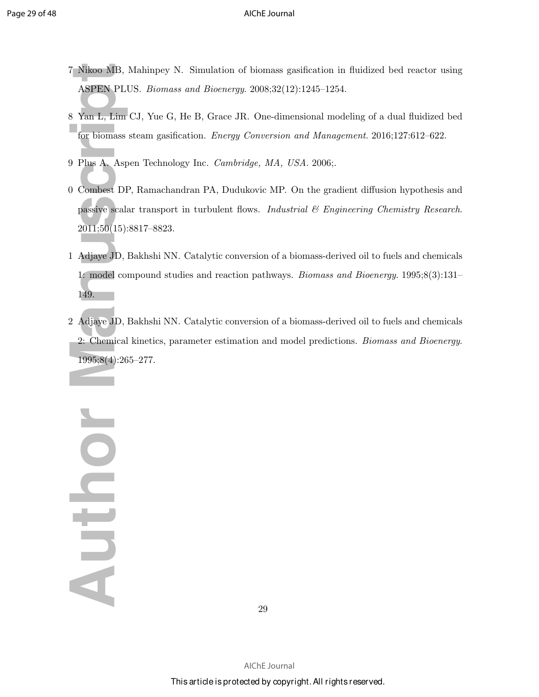- 7 Nikoo MB, Mahinpey N. Simulation of biomass gasification in fluidized bed reactor using ASPEN PLUS. *Biomass and Bioenergy*. 2008;32(12):1245–1254.
- 8 Yan L, Lim CJ, Yue G, He B, Grace JR. One-dimensional modeling of a dual fluidized bed for biomass steam gasification. *Energy Conversion and Management*. 2016;127:612–622.
- 9 Plus A. Aspen Technology Inc. *Cambridge, MA, USA*. 2006;.
- 0 Combest DP, Ramachandran PA, Dudukovic MP. On the gradient diffusion hypothesis and passive scalar transport in turbulent flows. *Industrial & Engineering Chemistry Research*. 2011;50(15):8817–8823.
- 1 Adjaye JD, Bakhshi NN. Catalytic conversion of a biomass-derived oil to fuels and chemicals 1: model compound studies and reaction pathways. *Biomass and Bioenergy*. 1995;8(3):131– 149.
- 2 Adjaye JD, Bakhshi NN. Catalytic conversion of a biomass-derived oil to fuels and chemicals 2: Chemical kinetics, parameter estimation and model predictions. *Biomass and Bioenergy*. 1995;8(4):265–277.

7 Nikoo MB, M<br>ASPEN PLU;<br>8 Yan L, Lim C<br>for biomass st<br>9 Plus A. Aspe<br>9 Combest DP,<br>passive scalar<br>2011;50(15):8;<br>1 Adjaye JD, B.<br>1: model com<br>149.<br>2: Chemical k<br>1995;8(4):265 Nounday

29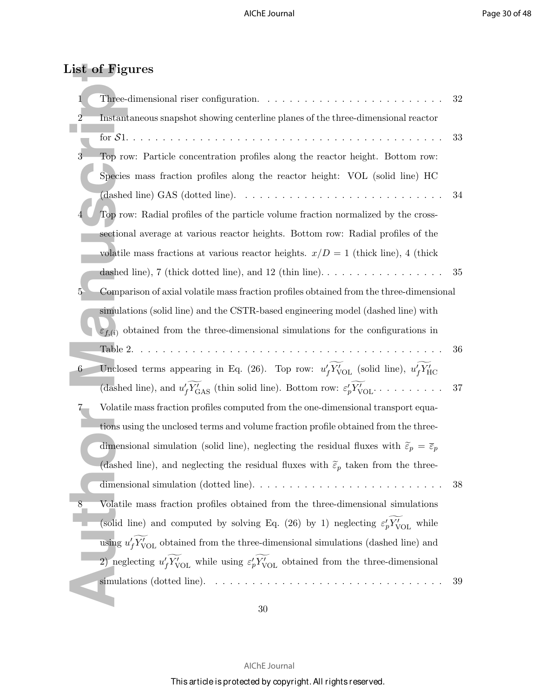### List of Figures

|                | List of Figures                                                                                                             |    |
|----------------|-----------------------------------------------------------------------------------------------------------------------------|----|
| 1              | Three-dimensional riser configuration. $\ldots \ldots \ldots \ldots \ldots \ldots$                                          | 32 |
| $\overline{2}$ | Instantaneous snapshot showing centerline planes of the three-dimensional reactor                                           |    |
|                |                                                                                                                             | 33 |
| $\overline{3}$ | Top row: Particle concentration profiles along the reactor height. Bottom row:                                              |    |
|                | Species mass fraction profiles along the reactor height: VOL (solid line) HC                                                |    |
|                | (dashed line) GAS (dotted line). $\ldots \ldots \ldots \ldots \ldots \ldots \ldots \ldots \ldots \ldots$                    | 34 |
|                | Top row: Radial profiles of the particle volume fraction normalized by the cross-                                           |    |
|                | sectional average at various reactor heights. Bottom row: Radial profiles of the                                            |    |
|                | volatile mass fractions at various reactor heights. $x/D = 1$ (thick line), 4 (thick                                        |    |
|                | dashed line), 7 (thick dotted line), and 12 (thin line).                                                                    | 35 |
| 5              | Comparison of axial volatile mass fraction profiles obtained from the three-dimensional                                     |    |
|                | simulations (solid line) and the CSTR-based engineering model (dashed line) with                                            |    |
|                | $\varepsilon_{f,(i)}$ obtained from the three-dimensional simulations for the configurations in                             |    |
|                | Table 2.                                                                                                                    | 36 |
| $6 -$          | Unclosed terms appearing in Eq. (26). Top row: $u'_{f}Y'_{\text{VOL}}$ (solid line), $u'_{f}Y'_{\text{HC}}$                 |    |
|                | (dashed line), and $u'_f Y'_{\text{GAS}}$ (thin solid line). Bottom row: $\varepsilon'_p Y'_{\text{VOL}} \dots \dots \dots$ | 37 |
|                | Volatile mass fraction profiles computed from the one-dimensional transport equa-                                           |    |
|                | tions using the unclosed terms and volume fraction profile obtained from the three-                                         |    |
|                | dimensional simulation (solid line), neglecting the residual fluxes with $\tilde{\varepsilon}_p = \overline{\varepsilon}_p$ |    |
|                | (dashed line), and neglecting the residual fluxes with $\tilde{\varepsilon}_p$ taken from the three-                        |    |
|                | dimensional simulation (dotted line). $\ldots \ldots \ldots \ldots \ldots \ldots \ldots \ldots \ldots$                      | 38 |
| $8\,$          | Volatile mass fraction profiles obtained from the three-dimensional simulations                                             |    |
|                | (solid line) and computed by solving Eq. (26) by 1) neglecting $\varepsilon'_{p}Y'_{\text{VOL}}$ while                      |    |
|                | using $u'_{f}Y'_{VOL}$ obtained from the three-dimensional simulations (dashed line) and                                    |    |
|                | 2) neglecting $u_f'Y_{\text{VOL}}'$ while using $\varepsilon_p'Y_{\text{VOL}}'$ obtained from the three-dimensional         |    |
|                |                                                                                                                             | 39 |
|                |                                                                                                                             |    |

30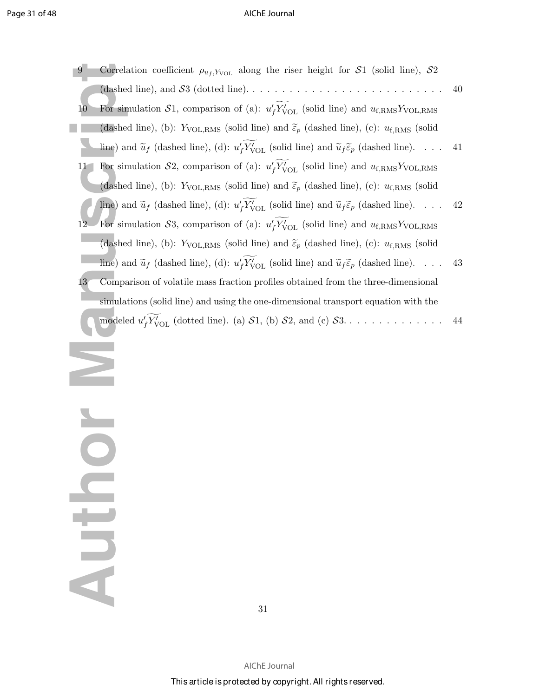| 9            | Correlation coefficient $\rho_{u_f, Y_{\text{VOL}}}$ along the riser height for S1 (solid line), S2                                    |    |
|--------------|----------------------------------------------------------------------------------------------------------------------------------------|----|
|              | (dashed line), and $S3$ (dotted line).                                                                                                 | 40 |
| 10           | For simulation $S1$ , comparison of (a): $u_f' Y_{\text{VOL}}'$ (solid line) and $u_{f,\text{RMS}} Y_{\text{VOL,RMS}}$                 |    |
|              | (dashed line), (b): $Y_{\text{VOL,RMS}}$ (solid line) and $\tilde{\varepsilon}_p$ (dashed line), (c): $u_{\text{f,RMS}}$ (solid        |    |
|              | line) and $\tilde{u}_f$ (dashed line), (d): $u'_f Y'_{\text{VOL}}$ (solid line) and $\tilde{u}_f \tilde{\varepsilon}_p$ (dashed line). | 41 |
| 11           | For simulation $S_2$ , comparison of (a): $u'_f Y'_{\text{VOL}}$ (solid line) and $u_{f,\text{RMS}} Y_{\text{VOL},\text{RMS}}$         |    |
|              | (dashed line), (b): $Y_{\text{VOL,RMS}}$ (solid line) and $\tilde{\varepsilon}_p$ (dashed line), (c): $u_{\text{f,RMS}}$ (solid        |    |
|              | line) and $\tilde{u}_f$ (dashed line), (d): $u'_f Y'_{\text{VOL}}$ (solid line) and $\tilde{u}_f \tilde{\varepsilon}_p$ (dashed line). | 42 |
| 12           | For simulation S3, comparison of (a): $u'_{f}Y'_{\text{VOL}}$ (solid line) and $u_{f,\text{RMS}}Y_{\text{VOL,RMS}}$                    |    |
|              | (dashed line), (b): $Y_{\text{VOL,RMS}}$ (solid line) and $\tilde{\varepsilon}_p$ (dashed line), (c): $u_{\text{f,RMS}}$ (solid        |    |
|              | line) and $\tilde{u}_f$ (dashed line), (d): $u'_f Y'_{\text{VOL}}$ (solid line) and $\tilde{u}_f \tilde{\epsilon}_p$ (dashed line).    | 43 |
| $13^{\circ}$ | Comparison of volatile mass fraction profiles obtained from the three-dimensional                                                      |    |
|              | simulations (solid line) and using the one-dimensional transport equation with the                                                     |    |
|              | modeled $u'_f Y'_{\text{VOL}}$ (dotted line). (a) $S1$ , (b) $S2$ , and (c) $S3$                                                       | 44 |
|              |                                                                                                                                        |    |
|              |                                                                                                                                        |    |
|              |                                                                                                                                        |    |
|              |                                                                                                                                        |    |
|              |                                                                                                                                        |    |
|              |                                                                                                                                        |    |
|              |                                                                                                                                        |    |
|              |                                                                                                                                        |    |
|              |                                                                                                                                        |    |
|              |                                                                                                                                        |    |
|              |                                                                                                                                        |    |
|              |                                                                                                                                        |    |
|              |                                                                                                                                        |    |
|              |                                                                                                                                        |    |
|              |                                                                                                                                        |    |

N JOLDN

31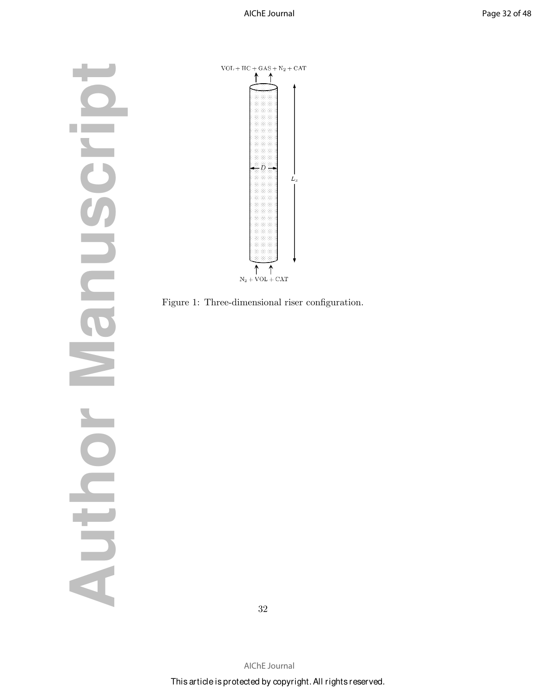**Author Manuscript**  $\bullet$ Frocune  $\blacktriangleright$  $\overline{\mathbf{O}}$ Auth



Figure 1: Three-dimensional riser configuration.

32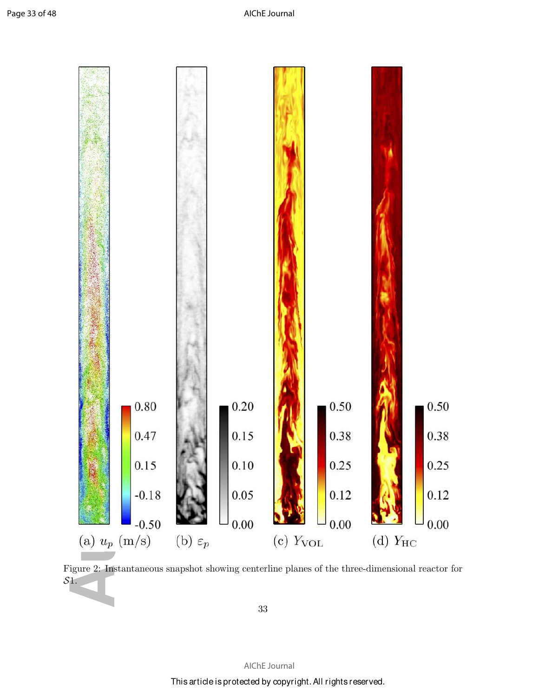

Figure 2: Instantaneous snapshot showing centerline planes of the three-dimensional reactor for S1.

33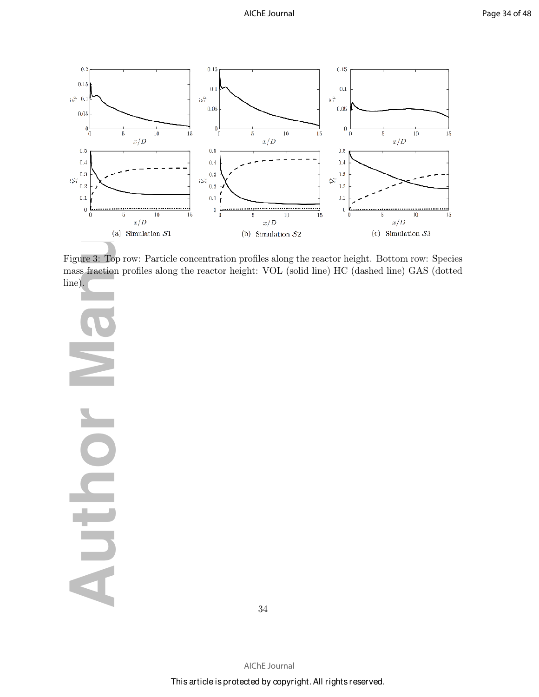

Figure 3: Top row: Particle concentration profiles along the reactor height. Bottom row: Species mass fraction profiles along the reactor height: VOL (solid line) HC (dashed line) GAS (dotted line).

**Author Manuscript** DIED

34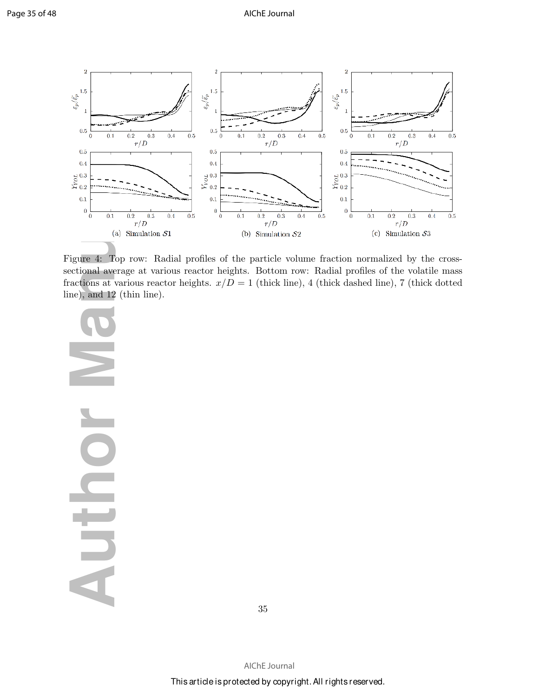

Figure 4: Top row: Radial profiles of the particle volume fraction normalized by the crosssectional average at various reactor heights. Bottom row: Radial profiles of the volatile mass fractions at various reactor heights.  $x/D = 1$  (thick line), 4 (thick dashed line), 7 (thick dotted line), and 12 (thin line).

**Author Manuscript AUTO** 

35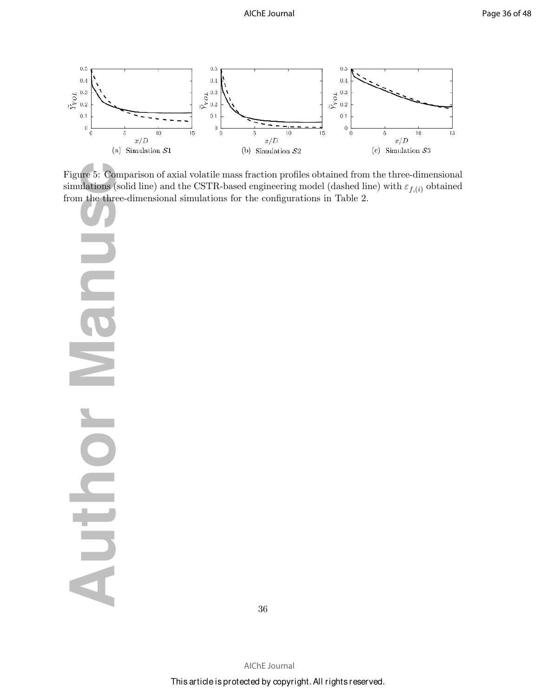

Figure 5: Comparison of axial volatile mass fraction profiles obtained from the three-dimensional simulations (solid line) and the CSTR-based engineering model (dashed line) with  $\varepsilon_{f,(i)}$  obtained from the three-dimensional simulations for the configurations in Table 2.

 $\frac{1}{2}$   $\frac{1}{2}$   $\frac{1}{2}$   $\frac{1}{2}$   $\frac{1}{2}$   $\frac{1}{2}$   $\frac{1}{2}$   $\frac{1}{2}$   $\frac{1}{2}$   $\frac{1}{2}$   $\frac{1}{2}$   $\frac{1}{2}$   $\frac{1}{2}$   $\frac{1}{2}$   $\frac{1}{2}$   $\frac{1}{2}$   $\frac{1}{2}$   $\frac{1}{2}$   $\frac{1}{2}$   $\frac{1}{2}$   $\frac{1}{2}$   $\frac{1}{2}$  **CIP DIFOL** 

36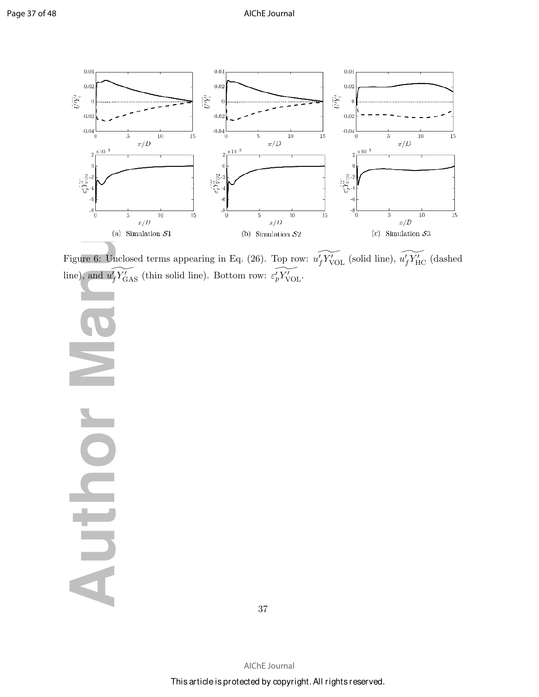

Figure 6: Unclosed terms appearing in Eq. (26). Top row:  $\widetilde{u_f'}\widetilde{Y'_{\text{VOL}}}$  (solid line),  $\widetilde{u_f'}\widetilde{Y'_{\text{HC}}}$  (dashed line), and  $\widetilde{u'_{f} Y'_{GAS}}$  (thin solid line). Bottom row:  $\widetilde{e'_{p} Y'_{VOL}}$ .

 $\frac{0.04}{0.02}$ <br>  $\frac{0.02}{0.02}$ <br>  $\frac{0.02}{0.02}$ <br>  $\frac{0.02}{0.02}$ <br>  $\frac{0.02}{0.02}$ <br>  $\frac{0.02}{0.02}$ <br>  $\frac{0.02}{0.02}$ <br>  $\frac{0.02}{0.02}$ <br>  $\frac{0.02}{0.02}$ <br>  $\frac{0.02}{0.02}$ <br>  $\frac{0.02}{0.02}$ <br>  $\frac{0.02}{0.02}$ <br>  $\frac{0.02}{0.02}$ <br> O **AUTO** 

37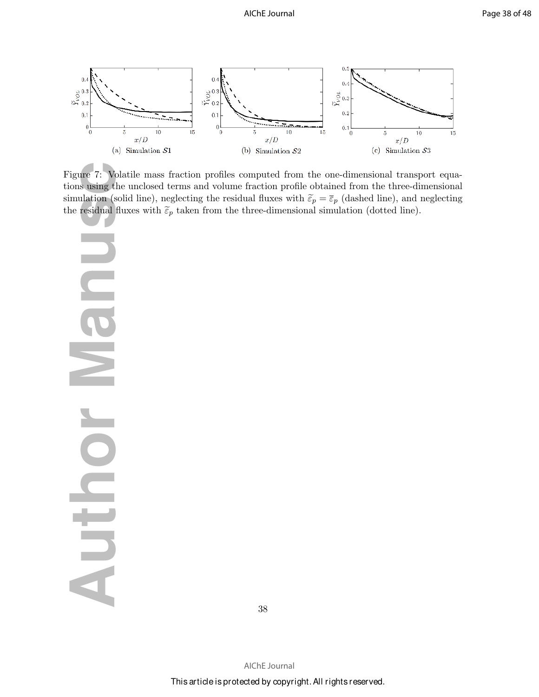

Figure 7: Volatile mass fraction profiles computed from the one-dimensional transport equations using the unclosed terms and volume fraction profile obtained from the three-dimensional simulation (solid line), neglecting the residual fluxes with  $\tilde{\varepsilon}_p = \overline{\varepsilon}_p$  (dashed line), and neglecting the residual fluxes with  $\tilde{\epsilon}_p$  taken from the three-dimensional simulation (dotted line).

**Author Contact Contact Contact Contact Contact Contact Contact Contact Contact Contact Contact Contact Contact Contact Contact Contact Contact Contact Contact Contact Contact Contact Contact Contact Contact Contact Contac**  $\geq$ O AUTO

38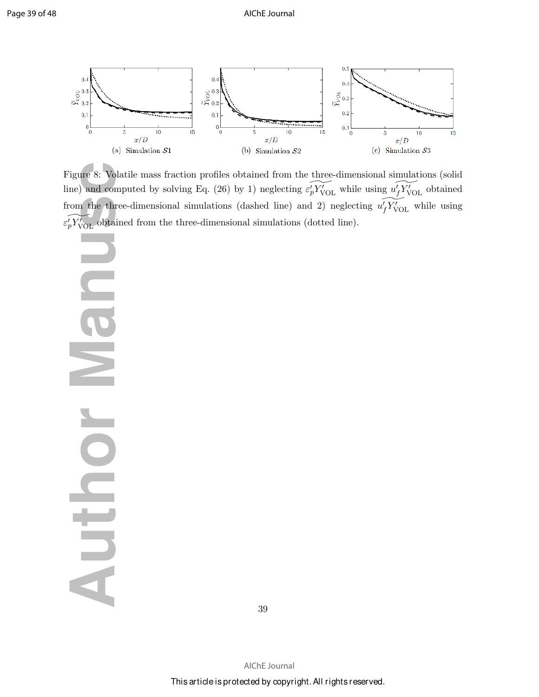

Figure 8: Volatile mass fraction profiles obtained from the three-dimensional simulations (solid line) and computed by solving Eq. (26) by 1) neglecting  $\widetilde{\varepsilon'_{p}Y'_{VOL}}$  while using  $\widetilde{u'_{f}Y'_{VOL}}$  obtained from the three-dimensional simulations (dashed line) and 2) neglecting  $\widetilde{u_f'Y'_{VOL}}$  while using  $\widetilde{\varepsilon_p' Y_{\mathrm{VOL}}'}$  obtained from the three-dimensional simulations (dotted line).

**Author Separate S:** Volatile<br>
igure 8: Volatile<br>
om the three-d<br>
on the three-d<br>
of YvoL obtained<br>
and comput<br>
and Computer S: Volatile<br>
and Computer S: Volatile<br>
and Computer S: Volatile<br>
and Computer S: Volatile<br>
and Co  $\overline{\phantom{0}}$ NUTUR

39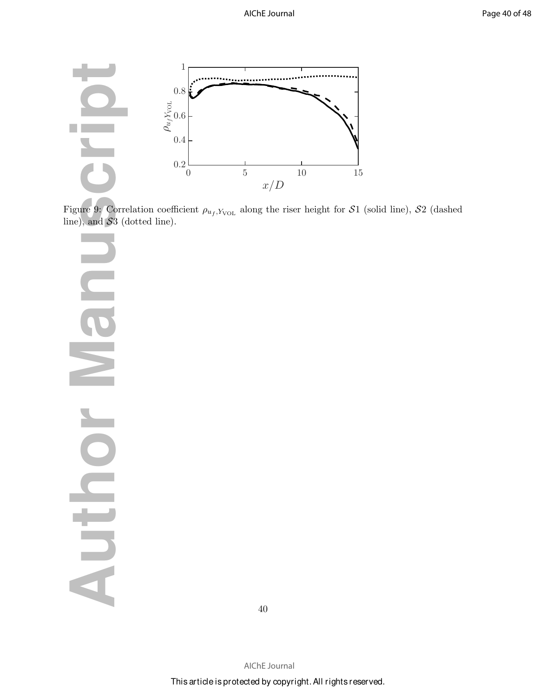

Figure 9: Correlation coefficient  $\rho_{u_f,Y_{\text{VOL}}}$  along the riser height for S1 (solid line), S2 (dashed line), and  $S3$  (dotted line).

**AUTHOR MANUSCRIPT C**<br>C E O NUTUL

40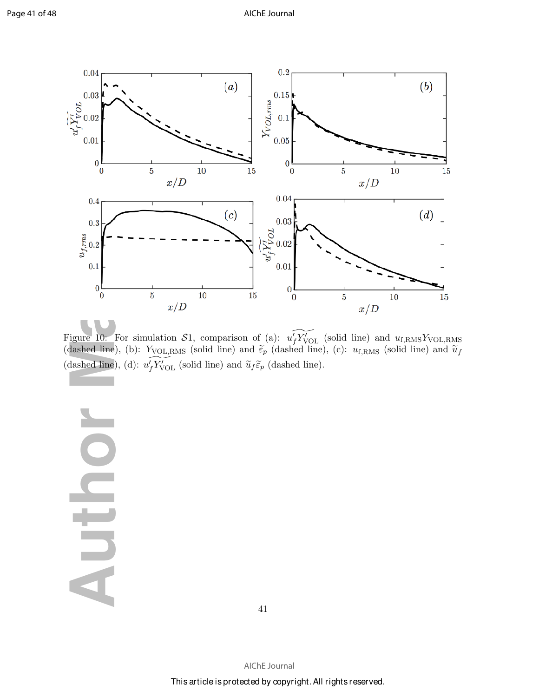

Figure 10: For simulation S1, comparison of (a):  $\widetilde{u_f'Y_{\text{VOL}}}$  (solid line) and  $u_{f,\text{RMS}}Y_{\text{VOL,RMS}}$ (dashed line), (b):  $Y_{\text{VOL,RMS}}$  (solid line) and  $\tilde{\varepsilon}_p$  (dashed line), (c):  $u_{\text{f,RMS}}$  (solid line) and  $\tilde{u}_f$ (dashed line), (d):  $\widetilde{u_f Y'_{\text{VOL}}}$  (solid line) and  $\widetilde{u}_f \widetilde{\varepsilon}_p$  (dashed line).

 $\blacksquare$ E

41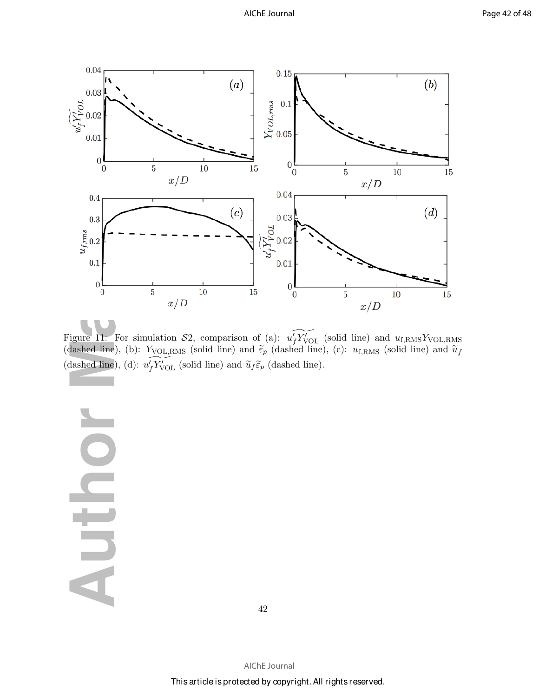

Figure 11: For simulation  $S2$ , comparison of (a):  $\widetilde{u_f'Y'_{VOL}}$  (solid line) and  $u_{f,RMS}Y_{VOL,RMS}$ (dashed line), (b):  $Y_{\text{VOL,RMS}}$  (solid line) and  $\tilde{\varepsilon}_p$  (dashed line), (c):  $u_{\text{f,RMS}}$  (solid line) and  $\tilde{u}_f$ (dashed line), (d):  $\widetilde{u_f Y'_{\text{VOL}}}$  (solid line) and  $\widetilde{u}_f \widetilde{\varepsilon}_p$  (dashed line).

**UILD** 

42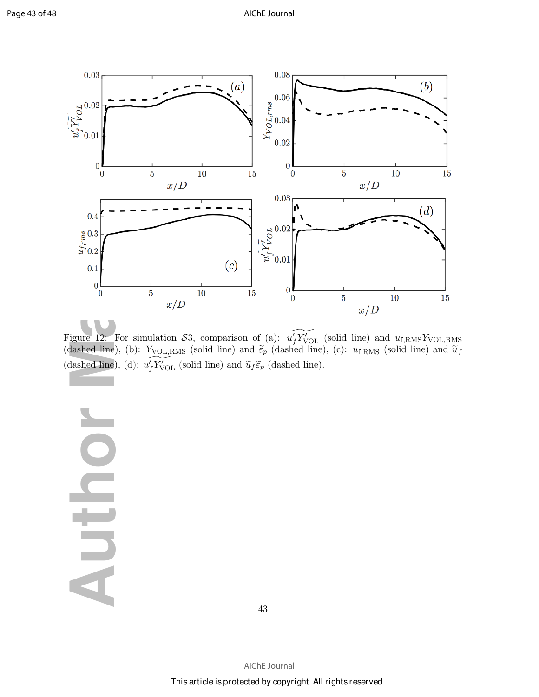

Figure 12: For simulation S3, comparison of (a):  $\widetilde{u_f'Y_{\text{VOL}}}$  (solid line) and  $u_{f,\text{RMS}}Y_{\text{VOL,RMS}}$ (dashed line), (b):  $Y_{\text{VOL,RMS}}$  (solid line) and  $\tilde{\varepsilon}_p$  (dashed line), (c):  $u_{\text{f,RMS}}$  (solid line) and  $\tilde{u}_f$ (dashed line), (d):  $\widetilde{u_f Y'_{\text{VOL}}}$  (solid line) and  $\widetilde{u}_f \widetilde{\varepsilon}_p$  (dashed line).

DIL

43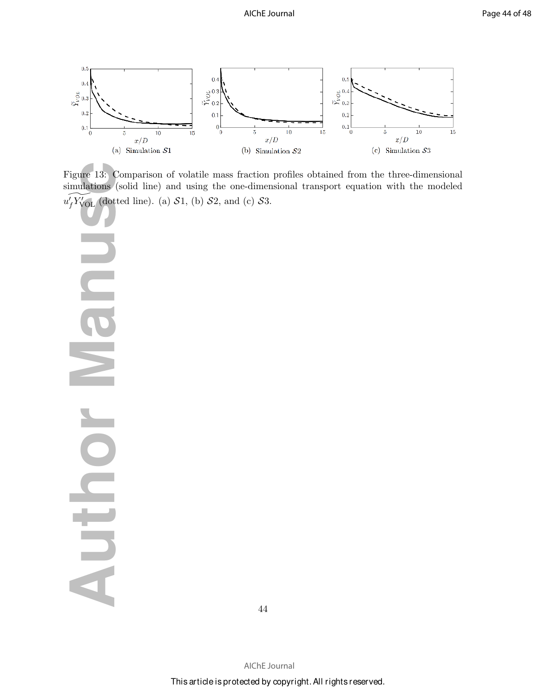

Figure 13: Comparison of volatile mass fraction profiles obtained from the three-dimensional simulations (solid line) and using the one-dimensional transport equation with the modeled  $\widetilde{u_f'Y'_{\text{VOL}}}$  (dotted line). (a) S1, (b) S2, and (c) S3.

 $\frac{1}{\frac{1}{\sqrt{2}}}\sum_{\substack{0.1 \\ 0.2}}\frac{1}{\sqrt{2}}\sum_{\substack{0.2 \\ 0.1}}\frac{1}{\sqrt{2}}\sum_{\substack{0.3 \\ 0.3 \\ 0.4}}\frac{1}{\sqrt{2}}\sum_{\substack{0.3 \\ 0.5 \\ 0.5}}\frac{1}{\sqrt{2}}\sum_{\substack{0.3 \\ 0.3 \\ 0.4}}\frac{1}{\sqrt{2}}\sum_{\substack{0.3 \\ 0.3 \\ 0.4}}\frac{1}{\sqrt{2}}\sum_{\substack{0.3 \\ 0.3 \\ 0.4}}\frac{1}{\sqrt{$ **CO**  $\blacktriangleright$ **CIFIC** 

44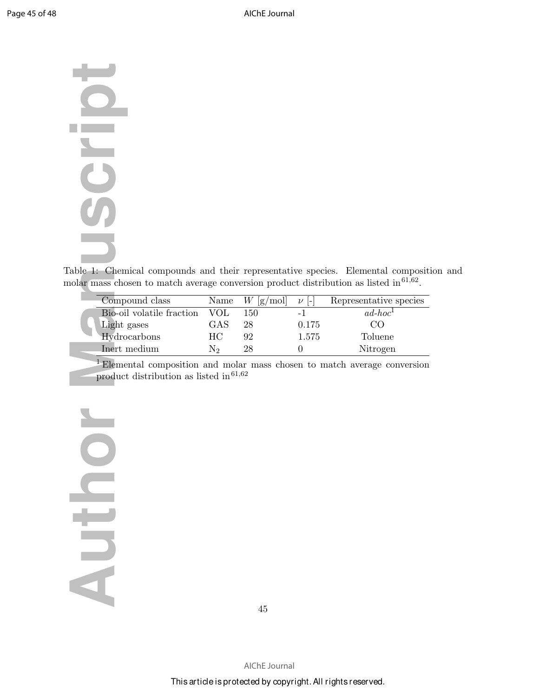# **Author Manuscript Compositer Compositer Compositer**<br> **Author Manuscript School**<br> **Author Mydrocal Product of Light ga**<br> **Author Mydrocal Product of Light gas** SCJ<sub>0</sub>

Table 1: Chemical compounds and their representative species. Elemental composition and molar mass chosen to match average conversion product distribution as listed in  $61,62$ .

| Compound class            | Name | $W$ [g/mol] | $\nu$ - | Representative species |
|---------------------------|------|-------------|---------|------------------------|
| Bio-oil volatile fraction | VOL  | 150         |         | $ad-hoc1$              |
| Light gases               | GAS  | 28          | 0.175   | CO.                    |
| Hydrocarbons              | HС   | 92          | 1.575   | Toluene                |
| Inert medium              | N٥   | 28          |         | Nitrogen               |

<sup>1</sup> Elemental composition and molar mass chosen to match average conversion product distribution as listed in  $61,62$ 

Auth

45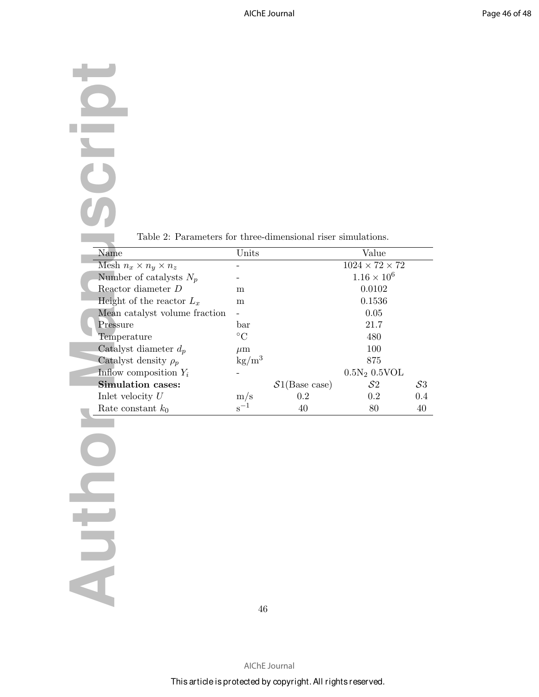# **Author Manuscript**<br> **Author Mesh**  $n_x$ <br>
Number<br>
Reactor<br>
Height o Mean ca<br>
Pressure<br>
Tempera<br>
Catalyst<br>
Catalyst<br>
Inflow co<br>
Simulat<br>
Inlet velous<br>
Rate con  $\bigcirc$ **SEP** U

Table 2: Parameters for three-dimensional riser simulations.

|  | Name                             | Units                  |               | Value                      |       |
|--|----------------------------------|------------------------|---------------|----------------------------|-------|
|  | Mesh $n_x \times n_y \times n_z$ |                        |               | $1024 \times 72 \times 72$ |       |
|  | Number of catalysts $N_p$        |                        |               | $1.16 \times 10^{6}$       |       |
|  | Reactor diameter D               | m                      |               | 0.0102                     |       |
|  | Height of the reactor $L_x$      | m                      |               | 0.1536                     |       |
|  | Mean catalyst volume fraction    |                        |               | 0.05                       |       |
|  | Pressure                         | bar                    |               | 21.7                       |       |
|  | Temperature                      | $\rm ^{\circ}C$        |               | 480                        |       |
|  | Catalyst diameter $d_p$          | $\mu$ m                |               | 100                        |       |
|  | Catalyst density $\rho_p$        | $\text{kg}/\text{m}^3$ |               | 875                        |       |
|  | Inflow composition $Y_i$         |                        |               | $0.5N_2 0.5VOL$            |       |
|  | <b>Simulation cases:</b>         |                        | S1(Base case) | S <sub>2</sub>             | $S_3$ |
|  | Inlet velocity $U$               | $\rm m/s$              | 0.2           | 0.2                        | 0.4   |
|  | Rate constant $k_0$              | $S^{-1}$               | 40            | 80                         | 40    |

 $\bigcirc$ Auth

46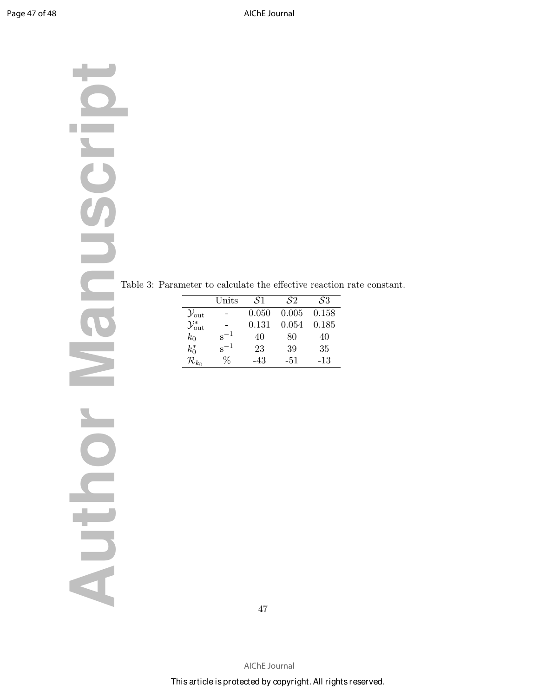# **Author Manuscript** Table 3: Parameter to calculate the effective reaction rate constant.<br>  $\frac{\sqrt{3m}}{2\sqrt{3m}}$   $\frac{1}{\sqrt{3}}$   $\frac{0.121}{0.040}$   $\frac{0.043}{0.188}$ <br>  $\frac{15}{R_{30}}$   $\frac{5}{R_{30}}$   $\frac{1}{\sqrt{3}}$   $\frac{23}{0.04}$   $\frac{30}{0$

|                              | Units    | S1.   | S2    | S3    |
|------------------------------|----------|-------|-------|-------|
| $\mathcal{Y}_{\text{out}}$   |          | 0.050 | 0.005 | 0.158 |
| $\mathcal{Y}_{\text{out}}^*$ |          | 0.131 | 0.054 | 0.185 |
| $k_0$                        | $s^{-1}$ | 40    | 80    | 40    |
| $k_0^*$                      | $s^{-1}$ | 23    | 39    | 35    |
| $\mathcal{R}_{k_0}$          | ℅        | $-43$ | -51   | $-13$ |

47